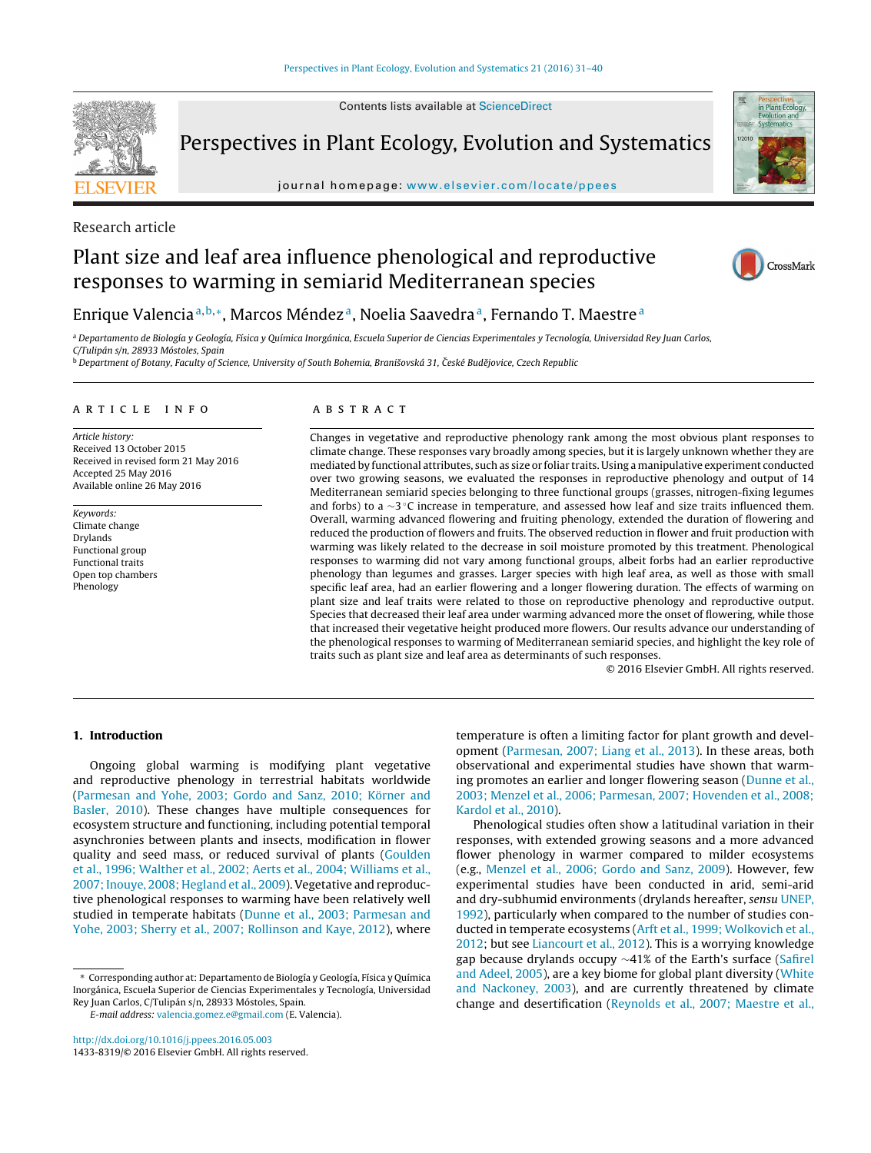Contents lists available at [ScienceDirect](http://www.sciencedirect.com/science/journal/14338319)



Perspectives in Plant Ecology, Evolution and Systematics

journal homepage: [www.elsevier.com/locate/ppees](http://www.elsevier.com/locate/ppees)



# Research article

# Plant size and leaf area influence phenological and reproductive responses to warming in semiarid Mediterranean species



# Enrique Valencia<sup>a, b,</sup>\*, Marcos Méndez<sup>a</sup>, Noelia Saavedra<sup>a</sup>, Fernando T. Maestre<sup>a</sup>

<sup>a</sup> Departamento de Biología y Geología, Física y Química Inorgánica, Escuela Superior de Ciencias Experimentales y Tecnología, Universidad Rey Juan Carlos, C/Tulipán s/n, 28933 Móstoles, Spain

<sup>b</sup> Department of Botany, Faculty of Science, University of South Bohemia, Branišovská 31, České Budějovice, Czech Republic

### A R T I C L E I N F O

Article history: Received 13 October 2015 Received in revised form 21 May 2016 Accepted 25 May 2016 Available online 26 May 2016

Keywords: Climate change Drylands Functional group Functional traits Open top chambers Phenology

### A B S T R A C T

Changes in vegetative and reproductive phenology rank among the most obvious plant responses to climate change. These responses vary broadly among species, but it is largely unknown whether they are mediated by functional attributes, such as size or foliar traits. Using a manipulative experiment conducted over two growing seasons, we evaluated the responses in reproductive phenology and output of 14 Mediterranean semiarid species belonging to three functional groups (grasses, nitrogen-fixing legumes and forbs) to a ∼3 ◦C increase in temperature, and assessed how leaf and size traits influenced them. Overall, warming advanced flowering and fruiting phenology, extended the duration of flowering and reduced the production of flowers and fruits. The observed reduction in flower and fruit production with warming was likely related to the decrease in soil moisture promoted by this treatment. Phenological responses to warming did not vary among functional groups, albeit forbs had an earlier reproductive phenology than legumes and grasses. Larger species with high leaf area, as well as those with small specific leaf area, had an earlier flowering and a longer flowering duration. The effects of warming on plant size and leaf traits were related to those on reproductive phenology and reproductive output. Species that decreased their leaf area under warming advanced more the onset of flowering, while those that increased their vegetative height produced more flowers. Our results advance our understanding of the phenological responses to warming of Mediterranean semiarid species, and highlight the key role of traits such as plant size and leaf area as determinants of such responses.

© 2016 Elsevier GmbH. All rights reserved.

# **1. Introduction**

Ongoing global warming is modifying plant vegetative and reproductive phenology in terrestrial habitats worldwide ([Parmesan](#page-8-0) [and](#page-8-0) [Yohe,](#page-8-0) [2003;](#page-8-0) [Gordo](#page-8-0) [and](#page-8-0) [Sanz,](#page-8-0) [2010;](#page-8-0) [Körner](#page-8-0) [and](#page-8-0) [Basler,](#page-8-0) [2010\).](#page-8-0) These changes have multiple consequences for ecosystem structure and functioning, including potential temporal asynchronies between plants and insects, modification in flower quality and seed mass, or reduced survival of plants ([Goulden](#page-8-0) et [al.,](#page-8-0) [1996;](#page-8-0) [Walther](#page-8-0) et [al.,](#page-8-0) [2002;](#page-8-0) [Aerts](#page-8-0) et [al.,](#page-8-0) [2004;](#page-8-0) [Williams](#page-8-0) et [al.,](#page-8-0) 2007; Inouye, [2008;](#page-8-0) [Hegland](#page-8-0) et [al.,](#page-8-0) [2009\).](#page-8-0) Vegetative and reproductive phenological responses to warming have been relatively well studied in temperate habitats [\(Dunne](#page-7-0) et [al.,](#page-7-0) [2003;](#page-7-0) [Parmesan](#page-7-0) [and](#page-7-0) [Yohe,](#page-7-0) [2003;](#page-7-0) [Sherry](#page-7-0) et [al.,](#page-7-0) [2007;](#page-7-0) [Rollinson](#page-7-0) [and](#page-7-0) [Kaye,](#page-7-0) [2012\),](#page-7-0) where

∗ Corresponding author at: Departamento de Biología y Geología, Física y Química Inorgánica, Escuela Superior de Ciencias Experimentales y Tecnología, Universidad Rey Juan Carlos, C/Tulipán s/n, 28933 Móstoles, Spain.

[http://dx.doi.org/10.1016/j.ppees.2016.05.003](dx.doi.org/10.1016/j.ppees.2016.05.003) 1433-8319/© 2016 Elsevier GmbH. All rights reserved. temperature is often a limiting factor for plant growth and development ([Parmesan,](#page-8-0) [2007;](#page-8-0) [Liang](#page-8-0) et [al.,](#page-8-0) [2013\).](#page-8-0) In these areas, both observational and experimental studies have shown that warming promotes an earlier and longer flowering season [\(Dunne](#page-7-0) et [al.,](#page-7-0) [2003;](#page-7-0) [Menzel](#page-7-0) et [al.,](#page-7-0) [2006;](#page-7-0) [Parmesan,](#page-7-0) [2007;](#page-7-0) [Hovenden](#page-7-0) et [al.,](#page-7-0) [2008;](#page-7-0) [Kardol](#page-7-0) et [al.,](#page-7-0) [2010\).](#page-7-0)

Phenological studies often show a latitudinal variation in their responses, with extended growing seasons and a more advanced flower phenology in warmer compared to milder ecosystems (e.g., [Menzel](#page-8-0) et [al.,](#page-8-0) [2006;](#page-8-0) [Gordo](#page-8-0) [and](#page-8-0) [Sanz,](#page-8-0) [2009\).](#page-8-0) However, few experimental studies have been conducted in arid, semi-arid and dry-subhumid environments (drylands hereafter, sensu [UNEP,](#page-9-0) [1992\),](#page-9-0) particularly when compared to the number of studies conducted in temperate ecosystems [\(Arft](#page-7-0) et [al.,](#page-7-0) [1999;](#page-7-0) [Wolkovich](#page-7-0) et [al.,](#page-7-0) [2012;](#page-7-0) but see [Liancourt](#page-8-0) et [al.,](#page-8-0) [2012\).](#page-8-0) This is a worrying knowledge gap because drylands occupy ∼41% of the Earth's surface ([Safirel](#page-9-0) [and](#page-9-0) [Adeel,](#page-9-0) [2005\),](#page-9-0) are a key biome for global plant diversity [\(White](#page-9-0) [and](#page-9-0) [Nackoney,](#page-9-0) [2003\),](#page-9-0) and are currently threatened by climate change and desertification [\(Reynolds](#page-8-0) et [al.,](#page-8-0) [2007;](#page-8-0) [Maestre](#page-8-0) et [al.,](#page-8-0)

E-mail address: [valencia.gomez.e@gmail.com](mailto:valencia.gomez.e@gmail.com) (E. Valencia).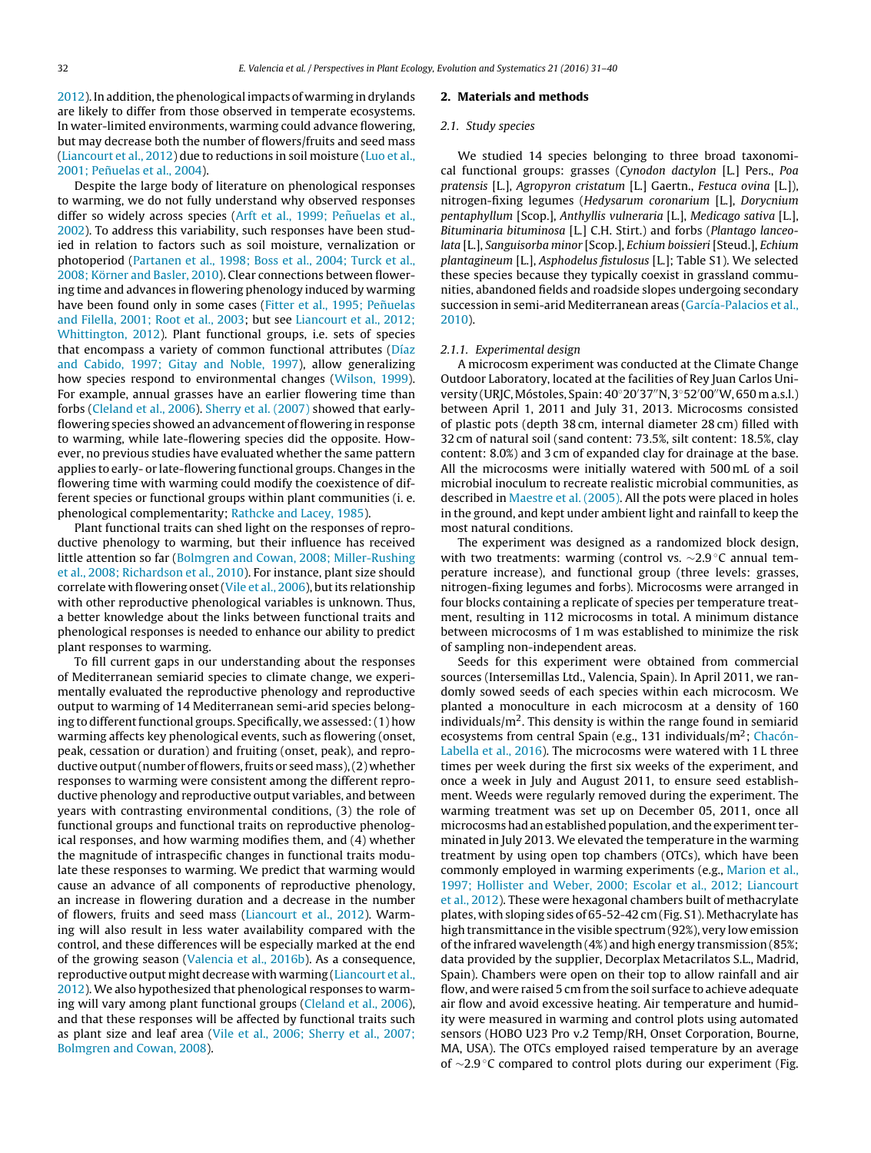[2012\).](#page-8-0) In addition, the phenological impacts of warming in drylands are likely to differ from those observed in temperate ecosystems. In water-limited environments, warming could advance flowering, but may decrease both the number of flowers/fruits and seed mass ([Liancourt](#page-8-0) et [al.,](#page-8-0) [2012\)](#page-8-0) due to reductions in soil moisture [\(Luo](#page-8-0) et [al.,](#page-8-0) [2001;](#page-8-0) Peñuelas et [al.,](#page-8-0) [2004\).](#page-8-0)

Despite the large body of literature on phenological responses to warming, we do not fully understand why observed responses differ so widely across species [\(Arft](#page-7-0) et [al.,](#page-7-0) [1999;](#page-7-0) Peñuelas et al., [2002\).](#page-7-0) To address this variability, such responses have been studied in relation to factors such as soil moisture, vernalization or photoperiod [\(Partanen](#page-8-0) et [al.,](#page-8-0) [1998;](#page-8-0) [Boss](#page-8-0) et [al.,](#page-8-0) [2004;](#page-8-0) [Turck](#page-8-0) et [al.,](#page-8-0) [2008;](#page-8-0) [Körner](#page-8-0) [and](#page-8-0) [Basler,](#page-8-0) [2010\).](#page-8-0) Clear connections between flowering time and advances in flowering phenology induced by warming have been found only in some cases ([Fitter](#page-8-0) et [al.,](#page-8-0) [1995;](#page-8-0) Peñuelas [and](#page-8-0) [Filella,](#page-8-0) [2001;](#page-8-0) [Root](#page-8-0) et [al.,](#page-8-0) [2003;](#page-8-0) but see [Liancourt](#page-8-0) et [al.,](#page-8-0) [2012;](#page-8-0) [Whittington,](#page-8-0) [2012\).](#page-8-0) Plant functional groups, i.e. sets of species that encompass a variety of common functional attributes ([Díaz](#page-7-0) [and](#page-7-0) [Cabido,](#page-7-0) [1997;](#page-7-0) [Gitay](#page-7-0) [and](#page-7-0) [Noble,](#page-7-0) [1997\),](#page-7-0) allow generalizing how species respond to environmental changes ([Wilson,](#page-9-0) [1999\).](#page-9-0) For example, annual grasses have an earlier flowering time than forbs ([Cleland](#page-7-0) et [al.,](#page-7-0) [2006\).](#page-7-0) [Sherry](#page-9-0) et [al.](#page-9-0) [\(2007\)](#page-9-0) showed that earlyflowering species showed an advancement of flowering in response to warming, while late-flowering species did the opposite. However, no previous studies have evaluated whether the same pattern applies to early- or late-flowering functional groups. Changes in the flowering time with warming could modify the coexistence of different species or functional groups within plant communities (i. e. phenological complementarity; [Rathcke](#page-8-0) [and](#page-8-0) [Lacey,](#page-8-0) [1985\).](#page-8-0)

Plant functional traits can shed light on the responses of reproductive phenology to warming, but their influence has received little attention so far ([Bolmgren](#page-7-0) [and](#page-7-0) [Cowan,](#page-7-0) [2008;](#page-7-0) [Miller-Rushing](#page-7-0) et [al.,](#page-7-0) [2008;](#page-7-0) [Richardson](#page-7-0) et [al.,](#page-7-0) [2010\).](#page-7-0) For instance, plant size should correlate with flowering onset ([Vile](#page-9-0) et [al.,](#page-9-0) [2006\),](#page-9-0) but its relationship with other reproductive phenological variables is unknown. Thus, a better knowledge about the links between functional traits and phenological responses is needed to enhance our ability to predict plant responses to warming.

To fill current gaps in our understanding about the responses of Mediterranean semiarid species to climate change, we experimentally evaluated the reproductive phenology and reproductive output to warming of 14 Mediterranean semi-arid species belonging to different functional groups. Specifically, we assessed: (1) how warming affects key phenological events, such as flowering (onset, peak, cessation or duration) and fruiting (onset, peak), and reproductive output (number of flowers, fruits or seed mass), (2) whether responses to warming were consistent among the different reproductive phenology and reproductive output variables, and between years with contrasting environmental conditions, (3) the role of functional groups and functional traits on reproductive phenological responses, and how warming modifies them, and (4) whether the magnitude of intraspecific changes in functional traits modulate these responses to warming. We predict that warming would cause an advance of all components of reproductive phenology, an increase in flowering duration and a decrease in the number of flowers, fruits and seed mass [\(Liancourt](#page-8-0) et [al.,](#page-8-0) [2012\).](#page-8-0) Warming will also result in less water availability compared with the control, and these differences will be especially marked at the end of the growing season [\(Valencia](#page-9-0) et [al.,](#page-9-0) [2016b\).](#page-9-0) As a consequence, reproductive output might decrease with warming ([Liancourt](#page-8-0) et [al.,](#page-8-0) [2012\).](#page-8-0) We also hypothesized that phenological responses to warm-ing will vary among plant functional groups ([Cleland](#page-7-0) et [al.,](#page-7-0) [2006\),](#page-7-0) and that these responses will be affected by functional traits such as plant size and leaf area [\(Vile](#page-9-0) et [al.,](#page-9-0) [2006;](#page-9-0) [Sherry](#page-9-0) et [al.,](#page-9-0) [2007;](#page-9-0) [Bolmgren](#page-9-0) [and](#page-9-0) [Cowan,](#page-9-0) [2008\).](#page-9-0)

#### **2. Materials and methods**

### 2.1. Study species

We studied 14 species belonging to three broad taxonomical functional groups: grasses (Cynodon dactylon [L.] Pers., Poa pratensis [L.], Agropyron cristatum [L.] Gaertn., Festuca ovina [L.]), nitrogen-fixing legumes (Hedysarum coronarium [L.], Dorycnium pentaphyllum [Scop.], Anthyllis vulneraria [L.], Medicago sativa [L.], Bituminaria bituminosa [L.] C.H. Stirt.) and forbs (Plantago lanceolata [L.], Sanguisorba minor [Scop.], Echium boissieri [Steud.], Echium plantagineum [L.], Asphodelus fistulosus [L.]; Table S1). We selected these species because they typically coexist in grassland communities, abandoned fields and roadside slopes undergoing secondary succession in semi-arid Mediterranean areas ([García-Palacios](#page-8-0) et [al.,](#page-8-0) [2010\).](#page-8-0)

### 2.1.1. Experimental design

A microcosm experiment was conducted at the Climate Change Outdoor Laboratory, located at the facilities of Rey Juan Carlos University (URJC, Móstoles, Spain: 40°20′37″N, 3°52′00″W, 650 m a.s.l.) between April 1, 2011 and July 31, 2013. Microcosms consisted of plastic pots (depth 38 cm, internal diameter 28 cm) filled with 32 cm of natural soil (sand content: 73.5%, silt content: 18.5%, clay content: 8.0%) and 3 cm of expanded clay for drainage at the base. All the microcosms were initially watered with 500 mL of a soil microbial inoculum to recreate realistic microbial communities, as described in [Maestre](#page-8-0) et [al.](#page-8-0) [\(2005\).](#page-8-0) All the pots were placed in holes in the ground, and kept under ambient light and rainfall to keep the most natural conditions.

The experiment was designed as a randomized block design, with two treatments: warming (control vs. ~2.9 °C annual temperature increase), and functional group (three levels: grasses, nitrogen-fixing legumes and forbs). Microcosms were arranged in four blocks containing a replicate of species per temperature treatment, resulting in 112 microcosms in total. A minimum distance between microcosms of 1 m was established to minimize the risk of sampling non-independent areas.

Seeds for this experiment were obtained from commercial sources (Intersemillas Ltd., Valencia, Spain). In April 2011, we randomly sowed seeds of each species within each microcosm. We planted a monoculture in each microcosm at a density of 160 individuals/ $m^2$ . This density is within the range found in semiarid ecosystems from central Spain (e.g., 131 individuals/ $m<sup>2</sup>$ ; [Chacón-](#page-7-0)Labella et [al.,](#page-7-0) [2016\).](#page-7-0) The microcosms were watered with 1 L three times per week during the first six weeks of the experiment, and once a week in July and August 2011, to ensure seed establishment. Weeds were regularly removed during the experiment. The warming treatment was set up on December 05, 2011, once all microcosms had an established population, and the experiment terminated in July 2013. We elevated the temperature in the warming treatment by using open top chambers (OTCs), which have been commonly employed in warming experiments (e.g., [Marion](#page-8-0) et [al.,](#page-8-0) [1997;](#page-8-0) [Hollister](#page-8-0) [and](#page-8-0) [Weber,](#page-8-0) [2000;](#page-8-0) [Escolar](#page-8-0) et [al.,](#page-8-0) [2012;](#page-8-0) [Liancourt](#page-8-0) et [al.,](#page-8-0) [2012\).](#page-8-0) These were hexagonal chambers built of methacrylate plates, with sloping sides of 65-52-42 cm (Fig. S1). Methacrylate has high transmittance in the visible spectrum (92%), very low emission ofthe infrared wavelength (4%) and high energy transmission (85%; data provided by the supplier, Decorplax Metacrilatos S.L., Madrid, Spain). Chambers were open on their top to allow rainfall and air flow, and were raised 5 cm from the soil surface to achieve adequate air flow and avoid excessive heating. Air temperature and humidity were measured in warming and control plots using automated sensors (HOBO U23 Pro v.2 Temp/RH, Onset Corporation, Bourne, MA, USA). The OTCs employed raised temperature by an average of ∼2.9 ◦C compared to control plots during our experiment (Fig.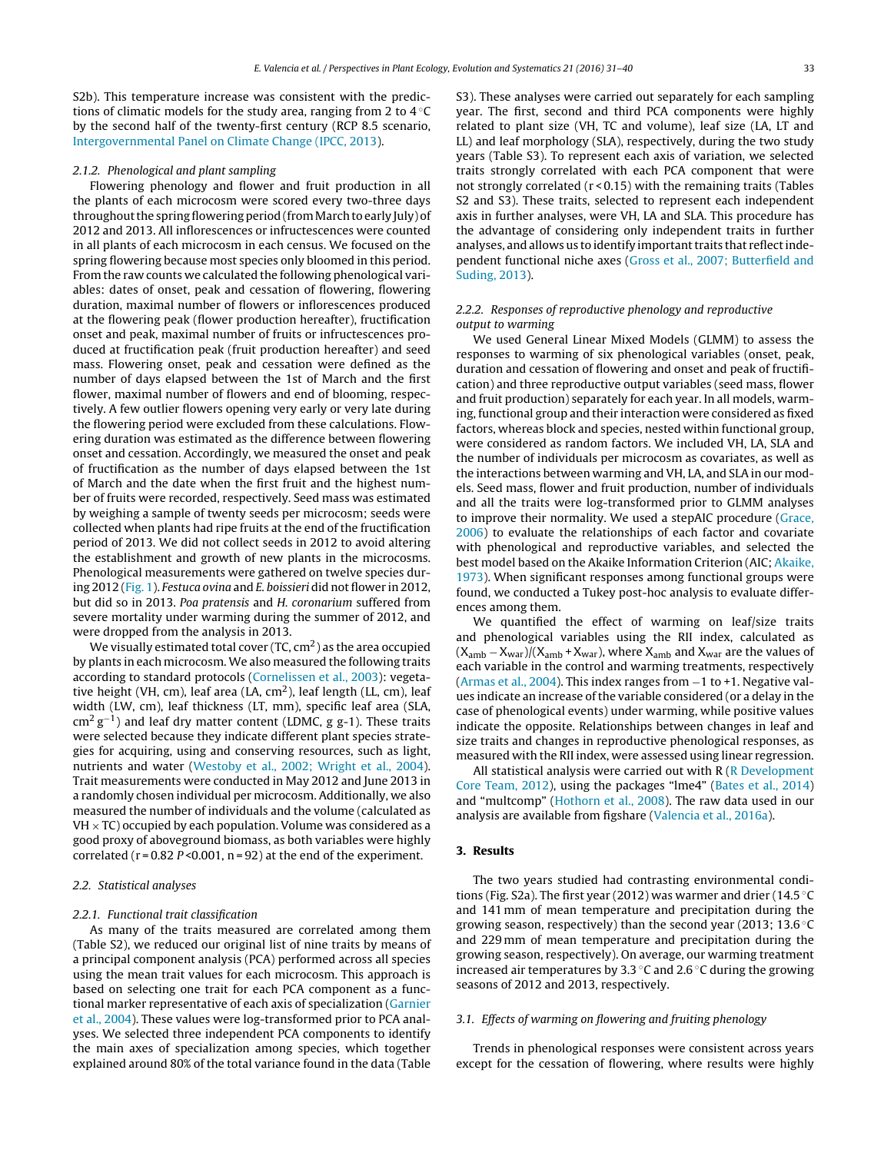S2b). This temperature increase was consistent with the predictions of climatic models for the study area, ranging from 2 to 4 ◦C by the second half of the twenty-first century (RCP 8.5 scenario, [Intergovernmental](#page-8-0) [Panel](#page-8-0) [on](#page-8-0) [Climate](#page-8-0) [Change](#page-8-0) [\(IPCC,](#page-8-0) [2013\).](#page-8-0)

### 2.1.2. Phenological and plant sampling

Flowering phenology and flower and fruit production in all the plants of each microcosm were scored every two-three days throughout the spring flowering period (from March to early July) of 2012 and 2013. All inflorescences or infructescences were counted in all plants of each microcosm in each census. We focused on the spring flowering because most species only bloomed in this period. From the raw counts we calculated the following phenological variables: dates of onset, peak and cessation of flowering, flowering duration, maximal number of flowers or inflorescences produced at the flowering peak (flower production hereafter), fructification onset and peak, maximal number of fruits or infructescences produced at fructification peak (fruit production hereafter) and seed mass. Flowering onset, peak and cessation were defined as the number of days elapsed between the 1st of March and the first flower, maximal number of flowers and end of blooming, respectively. A few outlier flowers opening very early or very late during the flowering period were excluded from these calculations. Flowering duration was estimated as the difference between flowering onset and cessation. Accordingly, we measured the onset and peak of fructification as the number of days elapsed between the 1st of March and the date when the first fruit and the highest number of fruits were recorded, respectively. Seed mass was estimated by weighing a sample of twenty seeds per microcosm; seeds were collected when plants had ripe fruits at the end of the fructification period of 2013. We did not collect seeds in 2012 to avoid altering the establishment and growth of new plants in the microcosms. Phenological measurements were gathered on twelve species during 2012 ([Fig.](#page-4-0) 1). Festuca ovina and E. boissieri did not flower in 2012, but did so in 2013. Poa pratensis and H. coronarium suffered from severe mortality under warming during the summer of 2012, and were dropped from the analysis in 2013.

We visually estimated total cover  $(TC, cm^2)$  as the area occupied by plants in each microcosm. We also measured the following traits according to standard protocols [\(Cornelissen](#page-7-0) et [al.,](#page-7-0) [2003\):](#page-7-0) vegetative height (VH, cm), leaf area (LA,  $cm<sup>2</sup>$ ), leaf length (LL, cm), leaf width (LW, cm), leaf thickness (LT, mm), specific leaf area (SLA,  $\text{cm}^2 \text{ g}^{-1}$ ) and leaf dry matter content (LDMC, g g-1). These traits were selected because they indicate different plant species strategies for acquiring, using and conserving resources, such as light, nutrients and water [\(Westoby](#page-9-0) et [al.,](#page-9-0) [2002;](#page-9-0) [Wright](#page-9-0) et [al.,](#page-9-0) [2004\).](#page-9-0) Trait measurements were conducted in May 2012 and June 2013 in a randomly chosen individual per microcosm. Additionally, we also measured the number of individuals and the volume (calculated as  $VH \times TC$ ) occupied by each population. Volume was considered as a good proxy of aboveground biomass, as both variables were highly correlated ( $r = 0.82$  P < 0.001,  $n = 92$ ) at the end of the experiment.

### 2.2. Statistical analyses

### 2.2.1. Functional trait classification

As many of the traits measured are correlated among them (Table S2), we reduced our original list of nine traits by means of a principal component analysis (PCA) performed across all species using the mean trait values for each microcosm. This approach is based on selecting one trait for each PCA component as a functional marker representative of each axis of specialization [\(Garnier](#page-8-0) et [al.,](#page-8-0) [2004\).](#page-8-0) These values were log-transformed prior to PCA analyses. We selected three independent PCA components to identify the main axes of specialization among species, which together explained around 80% of the total variance found in the data (Table S3). These analyses were carried out separately for each sampling year. The first, second and third PCA components were highly related to plant size (VH, TC and volume), leaf size (LA, LT and LL) and leaf morphology (SLA), respectively, during the two study years (Table S3). To represent each axis of variation, we selected traits strongly correlated with each PCA component that were not strongly correlated (r < 0.15) with the remaining traits (Tables S2 and S3). These traits, selected to represent each independent axis in further analyses, were VH, LA and SLA. This procedure has the advantage of considering only independent traits in further analyses, and allows us to identify important traits that reflect independent functional niche axes [\(Gross](#page-8-0) et [al.,](#page-8-0) [2007;](#page-8-0) [Butterfield](#page-8-0) [and](#page-8-0) [Suding,](#page-8-0) [2013\).](#page-8-0)

# 2.2.2. Responses of reproductive phenology and reproductive output to warming

We used General Linear Mixed Models (GLMM) to assess the responses to warming of six phenological variables (onset, peak, duration and cessation of flowering and onset and peak of fructification) and three reproductive output variables (seed mass, flower and fruit production) separately for each year. In all models, warming, functional group and their interaction were considered as fixed factors, whereas block and species, nested within functional group, were considered as random factors. We included VH, LA, SLA and the number of individuals per microcosm as covariates, as well as the interactions between warming and VH, LA, and SLA in our models. Seed mass, flower and fruit production, number of individuals and all the traits were log-transformed prior to GLMM analyses to improve their normality. We used a stepAIC procedure ([Grace,](#page-8-0) [2006\)](#page-8-0) to evaluate the relationships of each factor and covariate with phenological and reproductive variables, and selected the best model based on the Akaike Information Criterion (AIC; [Akaike,](#page-7-0) [1973\).](#page-7-0) When significant responses among functional groups were found, we conducted a Tukey post-hoc analysis to evaluate differences among them.

We quantified the effect of warming on leaf/size traits and phenological variables using the RII index, calculated as  $(X<sub>amb</sub> - X<sub>war</sub>)/(X<sub>amb</sub> + X<sub>war</sub>)$ , where  $X<sub>amb</sub>$  and  $X<sub>war</sub>$  are the values of each variable in the control and warming treatments, respectively [\(Armas](#page-7-0) et [al.,](#page-7-0) [2004\).](#page-7-0) This index ranges from −1 to +1. Negative values indicate an increase of the variable considered (or a delay in the case of phenological events) under warming, while positive values indicate the opposite. Relationships between changes in leaf and size traits and changes in reproductive phenological responses, as measured with the RII index, were assessed using linear regression.

All statistical analysis were carried out with R ([R](#page-8-0) [Development](#page-8-0) [Core](#page-8-0) [Team,](#page-8-0) [2012\),](#page-8-0) using the packages "lme4" [\(Bates](#page-7-0) et [al.,](#page-7-0) [2014\)](#page-7-0) and "multcomp" [\(Hothorn](#page-8-0) et [al.,](#page-8-0) [2008\).](#page-8-0) The raw data used in our analysis are available from figshare [\(Valencia](#page-9-0) et [al.,](#page-9-0) [2016a\).](#page-9-0)

# **3. Results**

The two years studied had contrasting environmental conditions (Fig. S2a). The first year (2012) was warmer and drier (14.5 ◦C and 141 mm of mean temperature and precipitation during the growing season, respectively) than the second year (2013; 13.6 ◦C and 229 mm of mean temperature and precipitation during the growing season, respectively). On average, our warming treatment increased air temperatures by 3.3 ◦C and 2.6 ◦C during the growing seasons of 2012 and 2013, respectively.

# 3.1. Effects of warming on flowering and fruiting phenology

Trends in phenological responses were consistent across years except for the cessation of flowering, where results were highly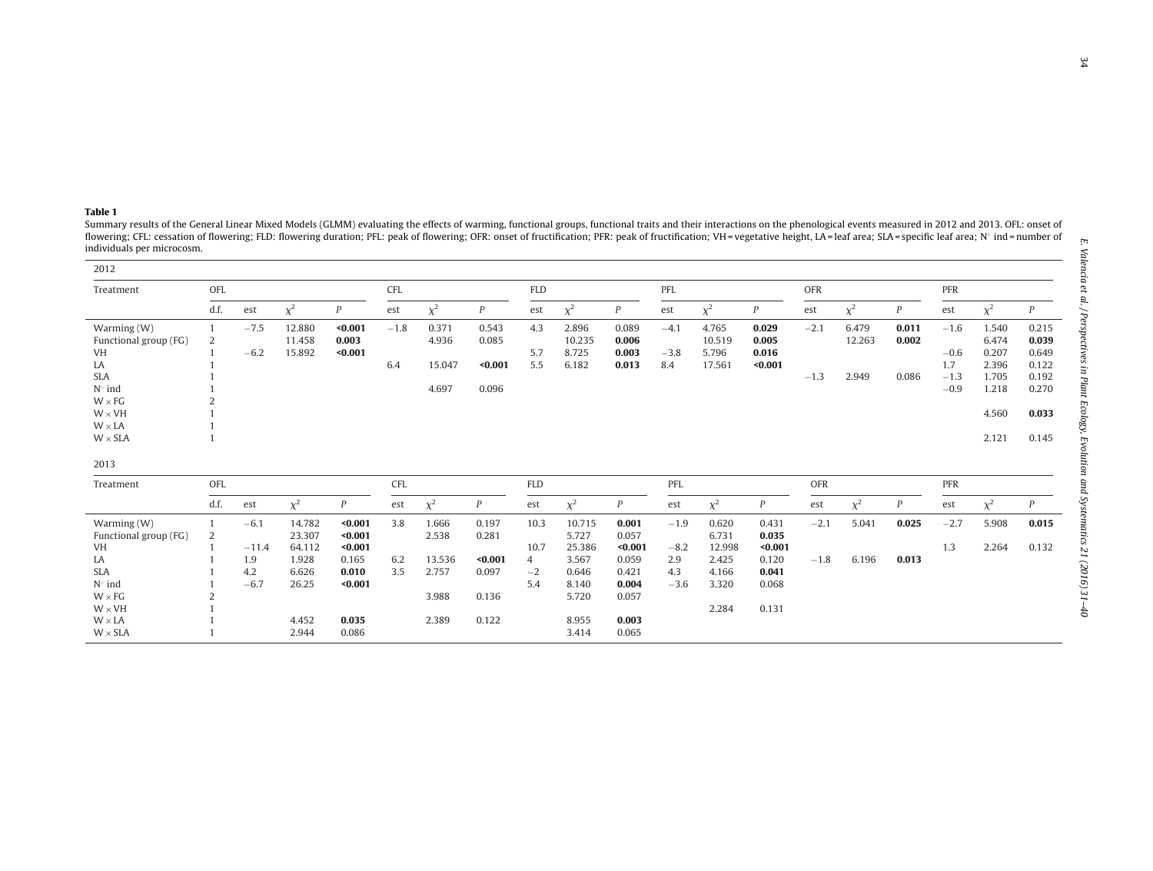<span id="page-3-0"></span>Summary results of the General Linear Mixed Models (GLMM) evaluating the effects of warming, functional groups, functional traits and their interactions on the phenological events measured in 2012 and 2013. OFL: onset of flowering; CFL: cessation of flowering; FLD: flowering duration; PFL: peak of flowering; OFR: onset of fructification; PFR: peak of fructification; WH = vegetative height, LA = leaf area; SLA = specific leaf area; N° ind individuals per microcosm.

| 2012                  |      |         |          |                  |            |          |                  |                |          |                  |        |          |                  |            |          |       |        |          |              |
|-----------------------|------|---------|----------|------------------|------------|----------|------------------|----------------|----------|------------------|--------|----------|------------------|------------|----------|-------|--------|----------|--------------|
| Treatment             | OFL  |         |          |                  | <b>CFL</b> |          |                  | <b>FLD</b>     |          |                  | PFL    |          |                  | <b>OFR</b> |          |       | PFR    |          |              |
|                       | d.f. | est     | $\chi^2$ | $\boldsymbol{P}$ | est        | $\chi^2$ | $\boldsymbol{P}$ | est            | $\chi^2$ | P                | est    | $\chi^2$ | $\boldsymbol{P}$ | est        | $\chi^2$ | P     | est    | $\chi^2$ | P            |
| Warming (W)           |      | $-7.5$  | 12.880   | $0.001$          | $-1.8$     | 0.371    | 0.543            | 4.3            | 2.896    | 0.089            | $-4.1$ | 4.765    | 0.029            | $-2.1$     | 6.479    | 0.011 | $-1.6$ | 1.540    | 0.215        |
| Functional group (FG) | 2    |         | 11.458   | 0.003            |            | 4.936    | 0.085            |                | 10.235   | 0.006            |        | 10.519   | 0.005            |            | 12.263   | 0.002 |        | 6.474    | 0.039        |
| VH                    |      | $-6.2$  | 15.892   | $0.001$          |            |          |                  | 5.7            | 8.725    | 0.003            | $-3.8$ | 5.796    | 0.016            |            |          |       | $-0.6$ | 0.207    | 0.649        |
| LA                    |      |         |          |                  | 6.4        | 15.047   | $0.001$          | 5.5            | 6.182    | 0.013            | 8.4    | 17.561   | $0.001$          |            |          |       | 1.7    | 2.396    | 0.122        |
| <b>SLA</b>            |      |         |          |                  |            |          |                  |                |          |                  |        |          |                  | $-1.3$     | 2.949    | 0.086 | $-1.3$ | 1.705    | 0.192        |
| $N^{\circ}$ ind       |      |         |          |                  |            | 4.697    | 0.096            |                |          |                  |        |          |                  |            |          |       | $-0.9$ | 1.218    | 0.270        |
| $W \times FG$         |      |         |          |                  |            |          |                  |                |          |                  |        |          |                  |            |          |       |        |          |              |
| $W \times VH$         |      |         |          |                  |            |          |                  |                |          |                  |        |          |                  |            |          |       |        | 4.560    | 0.033        |
| $W \times LA$         |      |         |          |                  |            |          |                  |                |          |                  |        |          |                  |            |          |       |        |          |              |
| $W \times SLA$        |      |         |          |                  |            |          |                  |                |          |                  |        |          |                  |            |          |       |        | 2.121    | 0.145        |
| 2013                  |      |         |          |                  |            |          |                  |                |          |                  |        |          |                  |            |          |       |        |          |              |
| Treatment             | OFL  |         |          |                  | CFL        |          |                  | <b>FLD</b>     |          |                  | PFL    |          |                  | <b>OFR</b> |          |       | PFR    |          |              |
|                       | d.f. | est     | $\chi^2$ | $\boldsymbol{P}$ | est        | $\chi^2$ | $\boldsymbol{P}$ | est            | $\chi^2$ | $\boldsymbol{P}$ | est    | $\chi^2$ | $\boldsymbol{P}$ | est        | $\chi^2$ | P     | est    | $\chi^2$ | $\mathbf{P}$ |
| Warming (W)           |      | $-6.1$  | 14.782   | $0.001$          | 3.8        | 1.666    | 0.197            | 10.3           | 10.715   | 0.001            | $-1.9$ | 0.620    | 0.431            | $-2.1$     | 5.041    | 0.025 | $-2.7$ | 5.908    | 0.015        |
| Functional group (FG) | 2    |         | 23.307   | $0.001$          |            | 2.538    | 0.281            |                | 5.727    | 0.057            |        | 6.731    | 0.035            |            |          |       |        |          |              |
| <b>VH</b>             |      | $-11.4$ | 64.112   | $0.001$          |            |          |                  | 10.7           | 25.386   | $0.001$          | $-8.2$ | 12.998   | $0.001$          |            |          |       | 1.3    | 2.264    | 0.132        |
| LA                    |      | 1.9     | 1.928    | 0.165            | 6.2        | 13.536   | < 0.001          | $\overline{4}$ | 3.567    | 0.059            | 2.9    | 2.425    | 0.120            | $-1.8$     | 6.196    | 0.013 |        |          |              |
| <b>SLA</b>            |      | 4.2     | 6.626    | 0.010            | 3.5        | 2.757    | 0.097            | $-2$           | 0.646    | 0.421            | 4.3    | 4.166    | 0.041            |            |          |       |        |          |              |
| $N^{\circ}$ ind       |      | $-6.7$  | 26.25    | $0.001$          |            |          |                  | 5.4            | 8.140    | 0.004            | $-3.6$ | 3.320    | 0.068            |            |          |       |        |          |              |
| $W \times FG$         |      |         |          |                  |            | 3.988    | 0.136            |                | 5.720    | 0.057            |        |          |                  |            |          |       |        |          |              |
| $W \times VH$         |      |         |          |                  |            |          |                  |                |          |                  |        | 2.284    | 0.131            |            |          |       |        |          |              |
| $W \times LA$         |      |         | 4.452    | 0.035            |            | 2.389    | 0.122            |                | 8.955    | 0.003            |        |          |                  |            |          |       |        |          |              |
| $W \times SLA$        |      |         | 2.944    | 0.086            |            |          |                  |                | 3.414    | 0.065            |        |          |                  |            |          |       |        |          |              |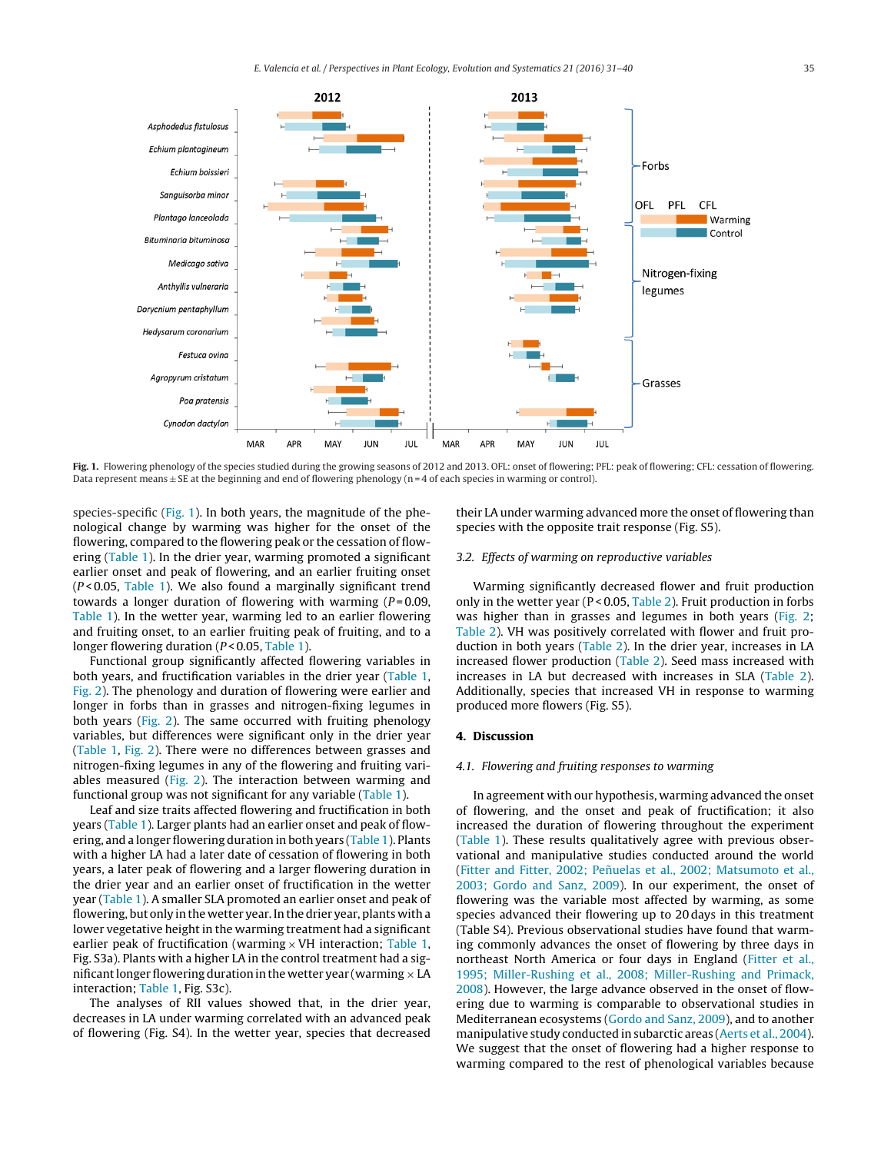<span id="page-4-0"></span>

Fig. 1. Flowering phenology of the species studied during the growing seasons of 2012 and 2013. OFL: onset of flowering; PFL: peak of flowering; CFL: cessation of flowering. Data represent means  $\pm$  SE at the beginning and end of flowering phenology (n = 4 of each species in warming or control).

species-specific (Fig. 1). In both years, the magnitude of the phenological change by warming was higher for the onset of the flowering, compared to the flowering peak or the cessation of flowering [\(Table](#page-3-0) 1). In the drier year, warming promoted a significant earlier onset and peak of flowering, and an earlier fruiting onset  $(P < 0.05$ , [Table](#page-3-0) 1). We also found a marginally significant trend towards a longer duration of flowering with warming  $(P=0.09, P=0.09)$ [Table](#page-3-0) 1). In the wetter year, warming led to an earlier flowering and fruiting onset, to an earlier fruiting peak of fruiting, and to a longer flowering duration ( $P < 0.05$ , [Table](#page-3-0) 1).

Functional group significantly affected flowering variables in both years, and fructification variables in the drier year [\(Table](#page-3-0) 1, [Fig.](#page-5-0) 2). The phenology and duration of flowering were earlier and longer in forbs than in grasses and nitrogen-fixing legumes in both years [\(Fig.](#page-5-0) 2). The same occurred with fruiting phenology variables, but differences were significant only in the drier year ([Table](#page-3-0) 1, [Fig.](#page-5-0) 2). There were no differences between grasses and nitrogen-fixing legumes in any of the flowering and fruiting variables measured ([Fig.](#page-5-0) 2). The interaction between warming and functional group was not significant for any variable ([Table](#page-3-0) 1).

Leaf and size traits affected flowering and fructification in both years ([Table](#page-3-0) 1). Larger plants had an earlier onset and peak of flowering, and a longer flowering duration in both years ([Table](#page-3-0) 1). Plants with a higher LA had a later date of cessation of flowering in both years, a later peak of flowering and a larger flowering duration in the drier year and an earlier onset of fructification in the wetter year [\(Table](#page-3-0) 1). A smaller SLA promoted an earlier onset and peak of flowering, but only in the wetter year.In the drier year, plants with a lower vegetative height in the warming treatment had a significant earlier peak of fructification (warming  $\times$  VH interaction; [Table](#page-3-0) 1, Fig. S3a). Plants with a higher LA in the control treatment had a significant longer flowering duration in the wetter year (warming  $\times$  LA interaction; [Table](#page-3-0) 1, Fig. S3c).

The analyses of RII values showed that, in the drier year, decreases in LA under warming correlated with an advanced peak of flowering (Fig. S4). In the wetter year, species that decreased

their LA under warming advanced more the onset of flowering than species with the opposite trait response (Fig. S5).

### 3.2. Effects of warming on reproductive variables

Warming significantly decreased flower and fruit production only in the wetter year (P < 0.05, [Table](#page-6-0) 2). Fruit production in forbs was higher than in grasses and legumes in both years ([Fig.](#page-5-0) 2; [Table](#page-6-0) 2). VH was positively correlated with flower and fruit production in both years [\(Table](#page-6-0) 2). In the drier year, increases in LA increased flower production [\(Table](#page-6-0) 2). Seed mass increased with increases in LA but decreased with increases in SLA [\(Table](#page-6-0) 2). Additionally, species that increased VH in response to warming produced more flowers (Fig. S5).

### **4. Discussion**

# 4.1. Flowering and fruiting responses to warming

In agreement with our hypothesis, warming advanced the onset of flowering, and the onset and peak of fructification; it also increased the duration of flowering throughout the experiment [\(Table](#page-3-0) 1). These results qualitatively agree with previous observational and manipulative studies conducted around the world [\(Fitter](#page-8-0) [and](#page-8-0) [Fitter,](#page-8-0) [2002;](#page-8-0) Peñuelas et [al.,](#page-8-0) 2002; [Matsumoto](#page-8-0) et al., [2003;](#page-8-0) [Gordo](#page-8-0) [and](#page-8-0) [Sanz,](#page-8-0) [2009\).](#page-8-0) In our experiment, the onset of flowering was the variable most affected by warming, as some species advanced their flowering up to 20 days in this treatment (Table S4). Previous observational studies have found that warming commonly advances the onset of flowering by three days in northeast North America or four days in England [\(Fitter](#page-8-0) et [al.,](#page-8-0) [1995;](#page-8-0) [Miller-Rushing](#page-8-0) et [al.,](#page-8-0) [2008;](#page-8-0) [Miller-Rushing](#page-8-0) [and](#page-8-0) [Primack,](#page-8-0) [2008\).](#page-8-0) However, the large advance observed in the onset of flowering due to warming is comparable to observational studies in Mediterranean ecosystems [\(Gordo](#page-8-0) [and](#page-8-0) [Sanz,](#page-8-0) [2009\),](#page-8-0) and to another manipulative study conducted in subarctic areas [\(Aerts](#page-7-0) et [al.,](#page-7-0) [2004\).](#page-7-0) We suggest that the onset of flowering had a higher response to warming compared to the rest of phenological variables because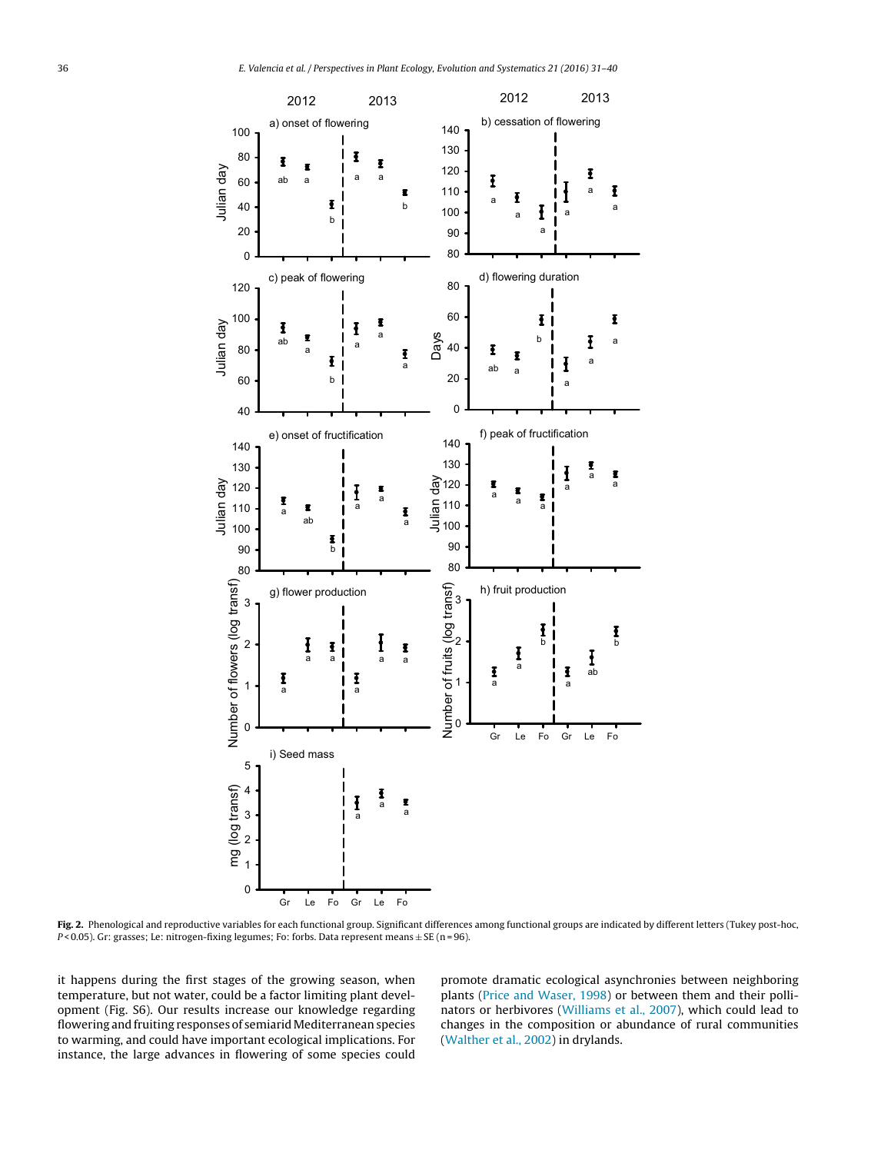<span id="page-5-0"></span>

**Fig. 2.** Phenological and reproductive variables for each functional group. Significant differences among functional groups are indicated by different letters (Tukey post-hoc, P < 0.05). Gr: grasses; Le: nitrogen-fixing legumes; Fo: forbs. Data represent means  $\pm$  SE (n = 96).

it happens during the first stages of the growing season, when temperature, but not water, could be a factor limiting plant development (Fig. S6). Our results increase our knowledge regarding flowering and fruiting responses of semiarid Mediterranean species to warming, and could have important ecological implications. For instance, the large advances in flowering of some species could

promote dramatic ecological asynchronies between neighboring plants ([Price](#page-8-0) [and](#page-8-0) [Waser,](#page-8-0) [1998\)](#page-8-0) or between them and their pollinators or herbivores ([Williams](#page-9-0) et [al.,](#page-9-0) [2007\),](#page-9-0) which could lead to changes in the composition or abundance of rural communities [\(Walther](#page-9-0) et [al.,](#page-9-0) [2002\)](#page-9-0) in drylands.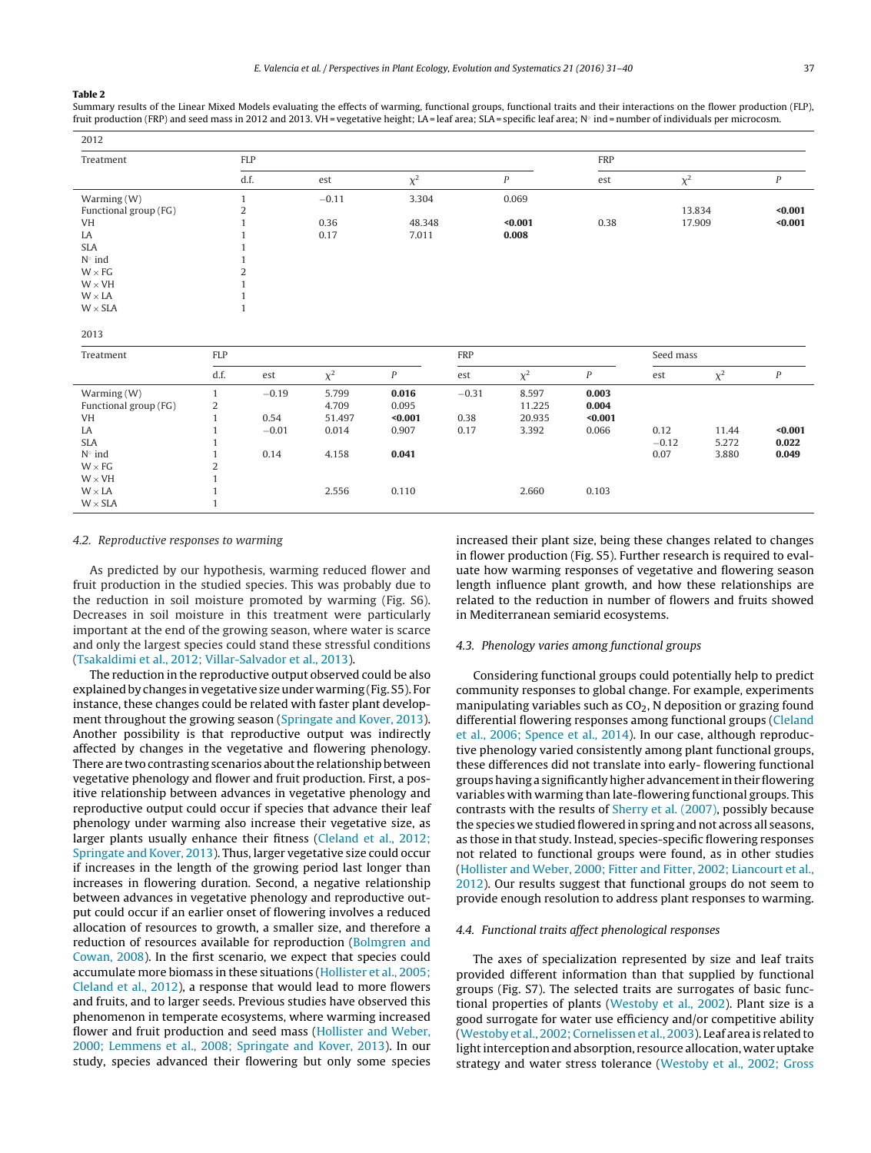### <span id="page-6-0"></span>**Table 2**

Summary results of the Linear Mixed Models evaluating the effects of warming, functional groups, functional traits and their interactions on the flower production (FLP), fruit production (FRP) and seed mass in 2012 and 2013. VH = vegetative height; LA = leaf area; SLA = specific leaf area; N° ind = number of individuals per microcosm.

| 2012                            |                  |            |                 |          |            |                  |                  |           |          |                  |  |
|---------------------------------|------------------|------------|-----------------|----------|------------|------------------|------------------|-----------|----------|------------------|--|
| Treatment                       |                  | <b>FLP</b> |                 |          | <b>FRP</b> |                  |                  |           |          |                  |  |
|                                 |                  | d.f.       | $\chi^2$<br>est |          |            | $\boldsymbol{P}$ | est              | $\chi^2$  |          | $\boldsymbol{P}$ |  |
| Warming (W)                     | $\mathbf{1}$     |            | $-0.11$         | 3.304    |            | 0.069            |                  |           |          |                  |  |
| Functional group (FG)           | $\overline{c}$   |            |                 |          |            |                  |                  | 13.834    |          | $0.001$          |  |
| <b>VH</b>                       | 1                |            | 0.36            | 48.348   | $0.001$    |                  | 0.38             | 17.909    |          | $0.001$          |  |
| LA                              |                  |            | 0.17            | 7.011    |            | 0.008            |                  |           |          |                  |  |
| <b>SLA</b>                      |                  |            |                 |          |            |                  |                  |           |          |                  |  |
| $N^{\circ}$ ind                 |                  |            |                 |          |            |                  |                  |           |          |                  |  |
| $\overline{c}$<br>$W \times FG$ |                  |            |                 |          |            |                  |                  |           |          |                  |  |
| $W \times VH$                   |                  |            |                 |          |            |                  |                  |           |          |                  |  |
| $W \times LA$                   |                  |            |                 |          |            |                  |                  |           |          |                  |  |
| $W\times SLA$                   |                  |            |                 |          |            |                  |                  |           |          |                  |  |
| 2013                            |                  |            |                 |          |            |                  |                  |           |          |                  |  |
| Treatment                       | FLP              |            |                 |          | <b>FRP</b> |                  |                  | Seed mass |          |                  |  |
|                                 | d.f.             | est        | $\chi^2$        | $\cal P$ | est        | $\chi^2$         | $\boldsymbol{P}$ | est       | $\chi^2$ | $\boldsymbol{P}$ |  |
| Warming (W)                     | $\mathbf{1}$     | $-0.19$    | 5.799           | 0.016    | $-0.31$    | 8.597            | 0.003            |           |          |                  |  |
| Functional group (FG)           | $\boldsymbol{2}$ |            | 4.709           | 0.095    |            | 11.225           | 0.004            |           |          |                  |  |
| <b>VH</b>                       | $\mathbf{1}$     | 0.54       | 51.497          | $0.001$  | 0.38       | 20.935           | $0.001$          |           |          |                  |  |
| LA                              | $\mathbf{1}$     | $-0.01$    | 0.014           | 0.907    | 0.17       | 3.392            | 0.066            | 0.12      | 11.44    | $0.001$          |  |
| <b>SLA</b>                      | 1                |            |                 |          |            |                  |                  | $-0.12$   | 5.272    | 0.022            |  |
| $N^{\circ}$ ind                 | $\mathbf{1}$     | 0.14       | 4.158           | 0.041    |            |                  |                  | 0.07      | 3.880    | 0.049            |  |
| $W \times FG$                   | $\overline{c}$   |            |                 |          |            |                  |                  |           |          |                  |  |
| $W \times VH$                   | $\mathbf{1}$     |            |                 |          |            |                  |                  |           |          |                  |  |
| $W\times LA$                    |                  |            | 2.556           | 0.110    |            | 2.660            | 0.103            |           |          |                  |  |
| $W \times SLA$                  | 1                |            |                 |          |            |                  |                  |           |          |                  |  |

### 4.2. Reproductive responses to warming

As predicted by our hypothesis, warming reduced flower and fruit production in the studied species. This was probably due to the reduction in soil moisture promoted by warming (Fig. S6). Decreases in soil moisture in this treatment were particularly important at the end of the growing season, where water is scarce and only the largest species could stand these stressful conditions ([Tsakaldimi](#page-9-0) et [al.,](#page-9-0) [2012;](#page-9-0) [Villar-Salvador](#page-9-0) et [al.,](#page-9-0) [2013\).](#page-9-0)

The reduction in the reproductive output observed could be also explained by changes in vegetative size under warming (Fig. S5). For instance, these changes could be related with faster plant development throughout the growing season [\(Springate](#page-9-0) [and](#page-9-0) [Kover,](#page-9-0) [2013\).](#page-9-0) Another possibility is that reproductive output was indirectly affected by changes in the vegetative and flowering phenology. There are two contrasting scenarios about the relationship between vegetative phenology and flower and fruit production. First, a positive relationship between advances in vegetative phenology and reproductive output could occur if species that advance their leaf phenology under warming also increase their vegetative size, as larger plants usually enhance their fitness [\(Cleland](#page-7-0) et [al.,](#page-7-0) [2012;](#page-7-0) [Springate](#page-7-0) [and](#page-7-0) [Kover,](#page-7-0) [2013\).](#page-7-0) Thus, larger vegetative size could occur if increases in the length of the growing period last longer than increases in flowering duration. Second, a negative relationship between advances in vegetative phenology and reproductive output could occur if an earlier onset of flowering involves a reduced allocation of resources to growth, a smaller size, and therefore a reduction of resources available for reproduction ([Bolmgren](#page-7-0) [and](#page-7-0) [Cowan,](#page-7-0) [2008\).](#page-7-0) In the first scenario, we expect that species could accumulate more biomass in these situations [\(Hollister](#page-8-0) et [al.,](#page-8-0) [2005;](#page-8-0) [Cleland](#page-8-0) et [al.,](#page-8-0) [2012\),](#page-8-0) a response that would lead to more flowers and fruits, and to larger seeds. Previous studies have observed this phenomenon in temperate ecosystems, where warming increased flower and fruit production and seed mass [\(Hollister](#page-8-0) [and](#page-8-0) [Weber,](#page-8-0) [2000;](#page-8-0) [Lemmens](#page-8-0) et [al.,](#page-8-0) [2008;](#page-8-0) [Springate](#page-8-0) [and](#page-8-0) [Kover,](#page-8-0) [2013\).](#page-8-0) In our study, species advanced their flowering but only some species

increased their plant size, being these changes related to changes in flower production (Fig. S5). Further research is required to evaluate how warming responses of vegetative and flowering season length influence plant growth, and how these relationships are related to the reduction in number of flowers and fruits showed in Mediterranean semiarid ecosystems.

#### 4.3. Phenology varies among functional groups

Considering functional groups could potentially help to predict community responses to global change. For example, experiments manipulating variables such as  $CO<sub>2</sub>$ , N deposition or grazing found differential flowering responses among functional groups [\(Cleland](#page-7-0) et [al.,](#page-7-0) [2006;](#page-7-0) [Spence](#page-7-0) et [al.,](#page-7-0) [2014\).](#page-7-0) In our case, although reproductive phenology varied consistently among plant functional groups, these differences did not translate into early- flowering functional groupshaving a significantlyhigher advancementintheirflowering variables with warming than late-flowering functional groups. This contrasts with the results of [Sherry](#page-9-0) et [al.](#page-9-0) [\(2007\),](#page-9-0) possibly because the species we studied flowered in spring and not across all seasons, as those in that study. Instead, species-specific flowering responses not related to functional groups were found, as in other studies [\(Hollister](#page-8-0) [and](#page-8-0) [Weber,](#page-8-0) [2000;](#page-8-0) [Fitter](#page-8-0) [and](#page-8-0) [Fitter,](#page-8-0) [2002;](#page-8-0) [Liancourt](#page-8-0) et [al.,](#page-8-0) [2012\).](#page-8-0) Our results suggest that functional groups do not seem to provide enough resolution to address plant responses to warming.

### 4.4. Functional traits affect phenological responses

The axes of specialization represented by size and leaf traits provided different information than that supplied by functional groups (Fig. S7). The selected traits are surrogates of basic functional properties of plants ([Westoby](#page-9-0) et [al.,](#page-9-0) [2002\).](#page-9-0) Plant size is a good surrogate for water use efficiency and/or competitive ability [\(Westoby](#page-9-0) et [al.,](#page-9-0) [2002;](#page-9-0) [Cornelissen](#page-9-0) et [al.,](#page-9-0) [2003\).](#page-9-0) Leaf area is related to light interception and absorption, resource allocation, water uptake strategy and water stress tolerance ([Westoby](#page-9-0) et [al.,](#page-9-0) [2002;](#page-9-0) [Gross](#page-9-0)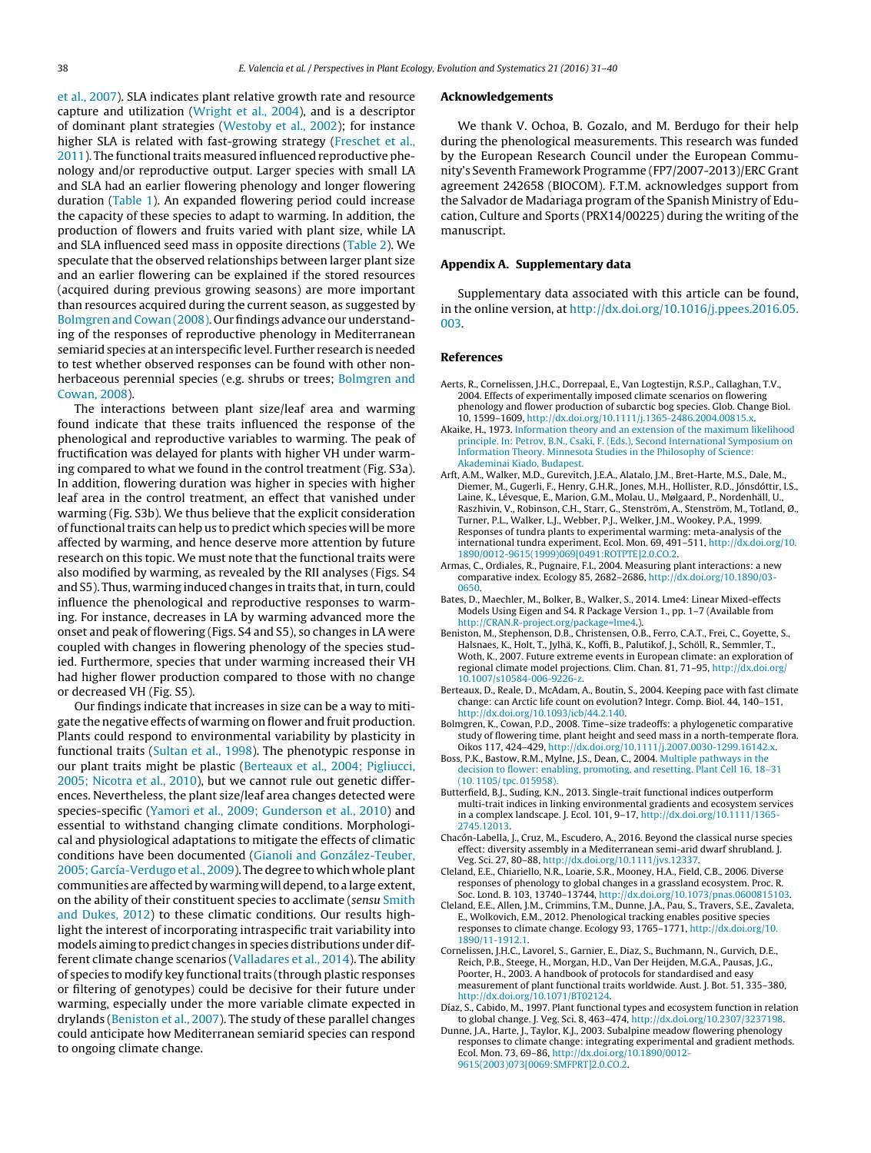<span id="page-7-0"></span>et [al.,](#page-9-0) [2007\).](#page-9-0) SLA indicates plant relative growth rate and resource capture and utilization [\(Wright](#page-9-0) et [al.,](#page-9-0) [2004\),](#page-9-0) and is a descriptor of dominant plant strategies ([Westoby](#page-9-0) et [al.,](#page-9-0) [2002\);](#page-9-0) for instance higher SLA is related with fast-growing strategy ([Freschet](#page-8-0) et [al.,](#page-8-0)  $2011$ ). The functional traits measured influenced reproductive phenology and/or reproductive output. Larger species with small LA and SLA had an earlier flowering phenology and longer flowering duration ([Table](#page-3-0) 1). An expanded flowering period could increase the capacity of these species to adapt to warming. In addition, the production of flowers and fruits varied with plant size, while LA and SLA influenced seed mass in opposite directions ([Table](#page-6-0) 2). We speculate that the observed relationships between larger plant size and an earlier flowering can be explained if the stored resources (acquired during previous growing seasons) are more important than resources acquired during the current season, as suggested by Bolmgren and Cowan (2008). Ourfindings advance our understanding of the responses of reproductive phenology in Mediterranean semiarid species at an interspecific level. Further research is needed to test whether observed responses can be found with other nonherbaceous perennial species (e.g. shrubs or trees; Bolmgren and Cowan, 2008).

The interactions between plant size/leaf area and warming found indicate that these traits influenced the response of the phenological and reproductive variables to warming. The peak of fructification was delayed for plants with higher VH under warming compared to what we found in the control treatment (Fig. S3a). In addition, flowering duration was higher in species with higher leaf area in the control treatment, an effect that vanished under warming (Fig. S3b). We thus believe that the explicit consideration of functional traits can help us to predict which species will be more affected by warming, and hence deserve more attention by future research on this topic. We must note that the functional traits were also modified by warming, as revealed by the RII analyses (Figs. S4 and S5). Thus, warming induced changes in traits that, in turn, could influence the phenological and reproductive responses to warming. For instance, decreases in LA by warming advanced more the onset and peak of flowering (Figs. S4 and S5), so changes in LA were coupled with changes in flowering phenology of the species studied. Furthermore, species that under warming increased their VH had higher flower production compared to those with no change or decreased VH (Fig. S5).

Our findings indicate that increases in size can be a way to mitigate the negative effects of warming on flower and fruit production. Plants could respond to environmental variability by plasticity in functional traits [\(Sultan](#page-9-0) et [al.,](#page-9-0) [1998\).](#page-9-0) The phenotypic response in our plant traits might be plastic (Berteaux et al., 2004; Pigliucci, 2005; Nicotra et al., 2010), but we cannot rule out genetic differences. Nevertheless, the plant size/leaf area changes detected were species-specific [\(Yamori](#page-9-0) et [al.,](#page-9-0) [2009;](#page-9-0) [Gunderson](#page-9-0) et [al.,](#page-9-0) [2010\)](#page-9-0) and essential to withstand changing climate conditions. Morphological and physiological adaptations to mitigate the effects of climatic conditions have been documented ([Gianoli](#page-8-0) [and](#page-8-0) [González-Teuber,](#page-8-0) [2005;](#page-8-0) [García-Verdugo](#page-8-0) et [al.,](#page-8-0) [2009\).](#page-8-0) The degree to which whole plant communities are affected by warming will depend, to a large extent, on the ability of their constituent species to acclimate (sensu [Smith](#page-9-0) [and](#page-9-0) [Dukes,](#page-9-0) [2012\)](#page-9-0) to these climatic conditions. Our results highlight the interest of incorporating intraspecific trait variability into models aiming to predict changes in species distributions under different climate change scenarios [\(Valladares](#page-9-0) et [al.,](#page-9-0) [2014\).](#page-9-0) The ability of species to modify key functional traits (through plastic responses or filtering of genotypes) could be decisive for their future under warming, especially under the more variable climate expected in drylands (Beniston et al., 2007). The study of these parallel changes could anticipate how Mediterranean semiarid species can respond to ongoing climate change.

#### **Acknowledgements**

We thank V. Ochoa, B. Gozalo, and M. Berdugo for their help during the phenological measurements. This research was funded by the European Research Council under the European Community's Seventh Framework Programme (FP7/2007-2013)/ERC Grant agreement 242658 (BIOCOM). F.T.M. acknowledges support from the Salvador de Madariaga program of the Spanish Ministry of Education, Culture and Sports (PRX14/00225) during the writing of the manuscript.

# **Appendix A. Supplementary data**

Supplementary data associated with this article can be found, in the online version, at [http://dx.doi.org/10.1016/j.ppees.2016.05.](http://dx.doi.org/10.1016/j.ppees.2016.05.003) [003.](http://dx.doi.org/10.1016/j.ppees.2016.05.003)

### **References**

- Aerts, R., Cornelissen, J.H.C., Dorrepaal, E., Van Logtestijn, R.S.P., Callaghan, T.V., 2004. Effects of experimentally imposed climate scenarios on flowering phenology and flower production of subarctic bog species. Glob. Change Biol. 10, 1599–1609, [http://dx.doi.org/10.1111/j.1365-2486.2004.00815.x.](dx.doi.org/10.1111/j.1365-2486.2004.00815.x)
- Akaike, H., 1973. [Information](http://refhub.elsevier.com/S1433-8319(16)30037-3/sbref0010) [theory](http://refhub.elsevier.com/S1433-8319(16)30037-3/sbref0010) [and](http://refhub.elsevier.com/S1433-8319(16)30037-3/sbref0010) [an](http://refhub.elsevier.com/S1433-8319(16)30037-3/sbref0010) [extension](http://refhub.elsevier.com/S1433-8319(16)30037-3/sbref0010) [of](http://refhub.elsevier.com/S1433-8319(16)30037-3/sbref0010) [the](http://refhub.elsevier.com/S1433-8319(16)30037-3/sbref0010) [maximum](http://refhub.elsevier.com/S1433-8319(16)30037-3/sbref0010) [likelihood](http://refhub.elsevier.com/S1433-8319(16)30037-3/sbref0010) [principle.](http://refhub.elsevier.com/S1433-8319(16)30037-3/sbref0010) [In:](http://refhub.elsevier.com/S1433-8319(16)30037-3/sbref0010) [Petrov,](http://refhub.elsevier.com/S1433-8319(16)30037-3/sbref0010) [B.N.,](http://refhub.elsevier.com/S1433-8319(16)30037-3/sbref0010) [Csaki,](http://refhub.elsevier.com/S1433-8319(16)30037-3/sbref0010) [F.](http://refhub.elsevier.com/S1433-8319(16)30037-3/sbref0010) [\(Eds.\),](http://refhub.elsevier.com/S1433-8319(16)30037-3/sbref0010) [Second](http://refhub.elsevier.com/S1433-8319(16)30037-3/sbref0010) [International](http://refhub.elsevier.com/S1433-8319(16)30037-3/sbref0010) [Symposium](http://refhub.elsevier.com/S1433-8319(16)30037-3/sbref0010) [on](http://refhub.elsevier.com/S1433-8319(16)30037-3/sbref0010) [Information](http://refhub.elsevier.com/S1433-8319(16)30037-3/sbref0010) [Theory.](http://refhub.elsevier.com/S1433-8319(16)30037-3/sbref0010) [Minnesota](http://refhub.elsevier.com/S1433-8319(16)30037-3/sbref0010) [Studies](http://refhub.elsevier.com/S1433-8319(16)30037-3/sbref0010) [in](http://refhub.elsevier.com/S1433-8319(16)30037-3/sbref0010) [the](http://refhub.elsevier.com/S1433-8319(16)30037-3/sbref0010) [Philosophy](http://refhub.elsevier.com/S1433-8319(16)30037-3/sbref0010) [of](http://refhub.elsevier.com/S1433-8319(16)30037-3/sbref0010) [Science:](http://refhub.elsevier.com/S1433-8319(16)30037-3/sbref0010) [Akademinai](http://refhub.elsevier.com/S1433-8319(16)30037-3/sbref0010) [Kiado,](http://refhub.elsevier.com/S1433-8319(16)30037-3/sbref0010) [Budapest.](http://refhub.elsevier.com/S1433-8319(16)30037-3/sbref0010)
- Arft, A.M., Walker, M.D., Gurevitch, J.E.A., Alatalo, J.M., Bret-Harte, M.S., Dale, M., Diemer, M., Gugerli, F., Henry, G.H.R., Jones, M.H., Hollister, R.D., Jónsdóttir, I.S., Laine, K., Lévesque, E., Marion, G.M., Molau, U., Mølgaard, P., Nordenhäll, U., Raszhivin, V., Robinson, C.H., Starr, G., Stenström, A., Stenström, M., Totland, Ø., Turner, P.L., Walker, L.J., Webber, P.J., Welker, J.M., Wookey, P.A., 1999. Responses of tundra plants to experimental warming: meta-analysis of the international tundra experiment. Ecol. Mon. 69, 491–511, [http://dx.doi.org/10.](dx.doi.org/10.1890/0012-9615(1999)069[0491:ROTPTE]2.0.CO.2) [1890/0012-9615\(1999\)069\[0491:ROTPTE\]2.0.CO.2](dx.doi.org/10.1890/0012-9615(1999)069[0491:ROTPTE]2.0.CO.2).
- Armas, C., Ordiales, R., Pugnaire, F.I., 2004. Measuring plant interactions: a new comparative index. Ecology 85, 2682–2686, [http://dx.doi.org/10.1890/03-](dx.doi.org/10.1890/03-0650) [0650.](dx.doi.org/10.1890/03-0650)
- Bates, D., Maechler, M., Bolker, B., Walker, S., 2014. Lme4: Linear Mixed-effects Models Using Eigen and S4. R Package Version 1., pp. 1–7 (Available from <http://CRAN.R-project.org/package=lme4>.).
- Beniston, M., Stephenson, D.B., Christensen, O.B., Ferro, C.A.T., Frei, C., Goyette, S., Halsnaes, K., Holt, T., Jylhä, K., Koffi, B., Palutikof, J., Schöll, R., Semmler, T., Woth, K., 2007. Future extreme events in European climate: an exploration of regional climate model projections. Clim. Chan. 81, 71–95, [http://dx.doi.org/](dx.doi.org/10.1007/s10584-006-9226-z) [10.1007/s10584-006-9226-z.](dx.doi.org/10.1007/s10584-006-9226-z)
- Berteaux, D., Reale, D., McAdam, A., Boutin, S., 2004. Keeping pace with fast climate change: can Arctic life count on evolution? Integr. Comp. Biol. 44, 140–151, [http://dx.doi.org/10.1093/icb/44.2.140.](dx.doi.org/10.1093/icb/44.2.140)
- Bolmgren, K., Cowan, P.D., 2008. Time–size tradeoffs: a phylogenetic comparative study of flowering time, plant height and seed mass in a north-temperate flora. Oikos 117, 424–429, [http://dx.doi.org/10.1111/j.2007.0030-1299.16142.x](dx.doi.org/10.1111/j.2007.0030-1299.16142.x).
- Boss, P.K., Bastow, R.M., Mylne, J.S., Dean, C., 2004. [Multiple](http://refhub.elsevier.com/S1433-8319(16)30037-3/sbref0045) [pathways](http://refhub.elsevier.com/S1433-8319(16)30037-3/sbref0045) [in](http://refhub.elsevier.com/S1433-8319(16)30037-3/sbref0045) [the](http://refhub.elsevier.com/S1433-8319(16)30037-3/sbref0045) [decision](http://refhub.elsevier.com/S1433-8319(16)30037-3/sbref0045) [to](http://refhub.elsevier.com/S1433-8319(16)30037-3/sbref0045) [flower:](http://refhub.elsevier.com/S1433-8319(16)30037-3/sbref0045) [enabling,](http://refhub.elsevier.com/S1433-8319(16)30037-3/sbref0045) [promoting,](http://refhub.elsevier.com/S1433-8319(16)30037-3/sbref0045) [and](http://refhub.elsevier.com/S1433-8319(16)30037-3/sbref0045) [resetting.](http://refhub.elsevier.com/S1433-8319(16)30037-3/sbref0045) [Plant](http://refhub.elsevier.com/S1433-8319(16)30037-3/sbref0045) [Cell](http://refhub.elsevier.com/S1433-8319(16)30037-3/sbref0045) [16,](http://refhub.elsevier.com/S1433-8319(16)30037-3/sbref0045) [18–31](http://refhub.elsevier.com/S1433-8319(16)30037-3/sbref0045) [\(10.](http://refhub.elsevier.com/S1433-8319(16)30037-3/sbref0045) [1105/tpc.](http://refhub.elsevier.com/S1433-8319(16)30037-3/sbref0045) [015958\).](http://refhub.elsevier.com/S1433-8319(16)30037-3/sbref0045)
- Butterfield, B.J., Suding, K.N., 2013. Single-trait functional indices outperform multi-trait indices in linking environmental gradients and ecosystem services in a complex landscape. J. Ecol. 101, 9–17, [http://dx.doi.org/10.1111/1365-](dx.doi.org/10.1111/1365-2745.12013) [2745.12013](dx.doi.org/10.1111/1365-2745.12013).
- Chacón-Labella, J., Cruz, M., Escudero, A., 2016. Beyond the classical nurse species effect: diversity assembly in a Mediterranean semi-arid dwarf shrubland. J. Veg. Sci. 27, 80–88, [http://dx.doi.org/10.1111/jvs.12337](dx.doi.org/10.1111/jvs.12337).
- Cleland, E.E., Chiariello, N.R., Loarie, S.R., Mooney, H.A., Field, C.B., 2006. Diverse responses of phenology to global changes in a grassland ecosystem. Proc. R. Soc. Lond. B. 103, 13740–13744, [http://dx.doi.org/10.1073/pnas.0600815103.](dx.doi.org/10.1073/pnas.0600815103)
- Cleland, E.E., Allen, J.M., Crimmins, T.M., Dunne, J.A., Pau, S., Travers, S.E., Zavaleta, E., Wolkovich, E.M., 2012. Phenological tracking enables positive species responses to climate change. Ecology 93, 1765–1771, [http://dx.doi.org/10.](dx.doi.org/10.1890/11-1912.1) [1890/11-1912.1](dx.doi.org/10.1890/11-1912.1).
- Cornelissen, J.H.C., Lavorel, S., Garnier, E., Diaz, S., Buchmann, N., Gurvich, D.E., Reich, P.B., Steege, H., Morgan, H.D., Van Der Heijden, M.G.A., Pausas, J.G., Poorter, H., 2003. A handbook of protocols for standardised and easy measurement of plant functional traits worldwide. Aust. J. Bot. 51, 335–380, [http://dx.doi.org/10.1071/BT02124.](dx.doi.org/10.1071/BT02124)
- Díaz, S., Cabido, M., 1997. Plant functional types and ecosystem function in relation to global change. J. Veg. Sci. 8, 463–474, [http://dx.doi.org/10.2307/3237198.](dx.doi.org/10.2307/3237198)
- Dunne, J.A., Harte, J., Taylor, K.J., 2003. Subalpine meadow flowering phenology responses to climate change: integrating experimental and gradient methods. Ecol. Mon. 73, 69–86, [http://dx.doi.org/10.1890/0012-](dx.doi.org/10.1890/0012-9615(2003)073[0069:SMFPRT]2.0.CO.2) [9615\(2003\)073\[0069:SMFPRT\]2.0.CO.2](dx.doi.org/10.1890/0012-9615(2003)073[0069:SMFPRT]2.0.CO.2).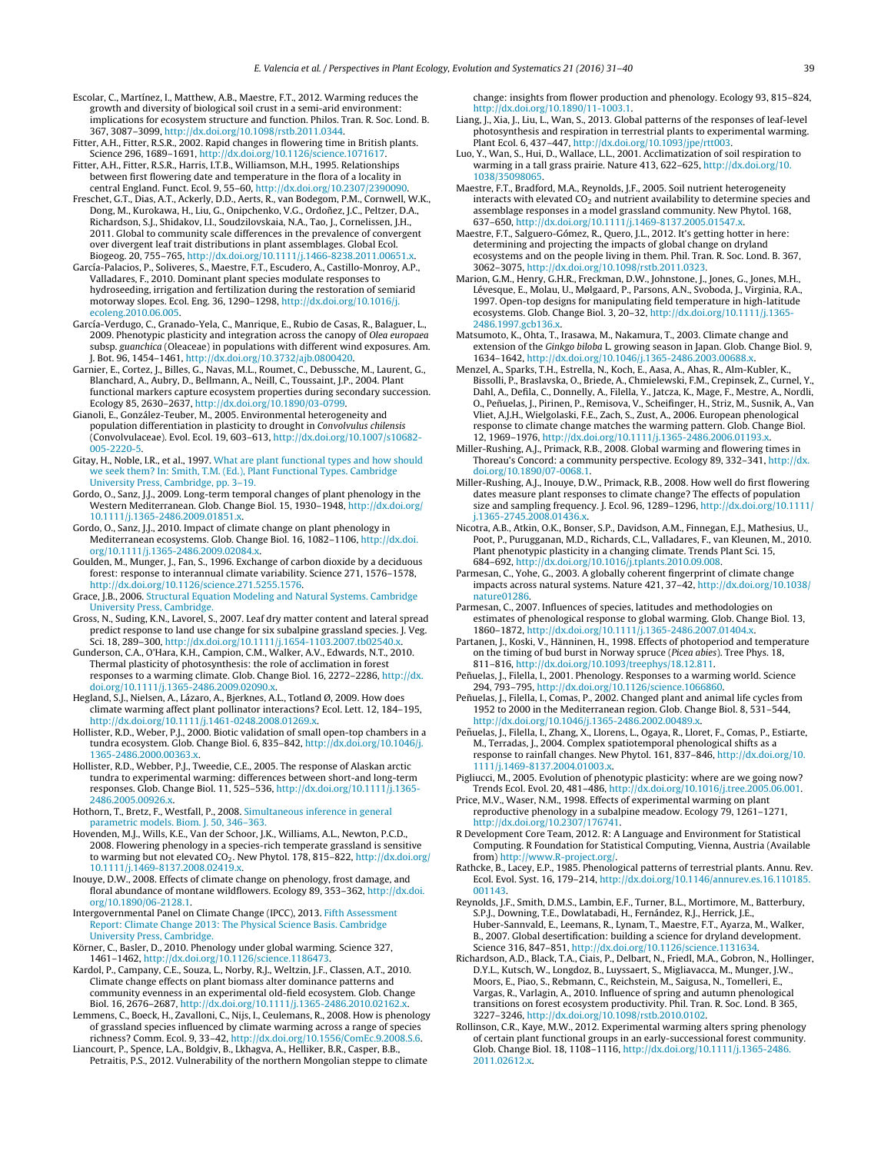- <span id="page-8-0"></span>Escolar, C., Martínez, I., Matthew, A.B., Maestre, F.T., 2012. Warming reduces the growth and diversity of biological soil crust in a semi-arid environment: implications for ecosystem structure and function. Philos. Tran. R. Soc. Lond. B. 367, 3087–3099, [http://dx.doi.org/10.1098/rstb.2011.0344.](dx.doi.org/10.1098/rstb.2011.0344)
- Fitter, A.H., Fitter, R.S.R., 2002. Rapid changes in flowering time in British plants. Science 296, 1689–1691, [http://dx.doi.org/10.1126/science.1071617](dx.doi.org/10.1126/science.1071617).
- Fitter, A.H., Fitter, R.S.R., Harris, I.T.B., Williamson, M.H., 1995. Relationships between first flowering date and temperature in the flora of a locality in central England. Funct. Ecol. 9, 55–60, [http://dx.doi.org/10.2307/2390090.](dx.doi.org/10.2307/2390090)
- Freschet, G.T., Dias, A.T., Ackerly, D.D., Aerts, R., van Bodegom, P.M., Cornwell, W.K., Dong, M., Kurokawa, H., Liu, G., Onipchenko, V.G., Ordoñez, J.C., Peltzer, D.A., Richardson, S.J., Shidakov, I.I., Soudzilovskaia, N.A., Tao, J., Cornelissen, J.H., 2011. Global to community scale differences in the prevalence of convergent over divergent leaf trait distributions in plant assemblages. Global Ecol. Biogeog. 20, 755–765, [http://dx.doi.org/10.1111/j.1466-8238.2011.00651.x.](dx.doi.org/10.1111/j.1466-8238.2011.00651.x)
- García-Palacios, P., Soliveres, S., Maestre, F.T., Escudero, A., Castillo-Monroy, A.P., Valladares, F., 2010. Dominant plant species modulate responses to hydroseeding, irrigation and fertilization during the restoration of semiarid motorway slopes. Ecol. Eng. 36, 1290–1298, [http://dx.doi.org/10.1016/j.](dx.doi.org/10.1016/j.ecoleng.2010.06.005) [ecoleng.2010.06.005](dx.doi.org/10.1016/j.ecoleng.2010.06.005).
- García-Verdugo, C., Granado-Yela, C., Manrique, E., Rubio de Casas, R., Balaguer, L., 2009. Phenotypic plasticity and integration across the canopy of Olea europaea subsp. guanchica (Oleaceae) in populations with different wind exposures. Am. J. Bot. 96, 1454–1461, [http://dx.doi.org/10.3732/ajb.0800420](dx.doi.org/10.3732/ajb.0800420).
- Garnier, E., Cortez, J., Billes, G., Navas, M.L., Roumet, C., Debussche, M., Laurent, G., Blanchard, A., Aubry, D., Bellmann, A., Neill, C., Toussaint, J.P., 2004. Plant functional markers capture ecosystem properties during secondary succession. Ecology 85, 2630–2637, [http://dx.doi.org/10.1890/03-0799](dx.doi.org/10.1890/03-0799).
- Gianoli, E., González-Teuber, M., 2005. Environmental heterogeneity and population differentiation in plasticity to drought in Convolvulus chilensis (Convolvulaceae). Evol. Ecol. 19, 603–613, [http://dx.doi.org/10.1007/s10682-](dx.doi.org/10.1007/s10682-005-2220-5) [005-2220-5.](dx.doi.org/10.1007/s10682-005-2220-5)
- Gitay, H., Noble, I.R., et al., 1997. [What](http://refhub.elsevier.com/S1433-8319(16)30037-3/sbref0125) [are](http://refhub.elsevier.com/S1433-8319(16)30037-3/sbref0125) [plant](http://refhub.elsevier.com/S1433-8319(16)30037-3/sbref0125) [functional](http://refhub.elsevier.com/S1433-8319(16)30037-3/sbref0125) [types](http://refhub.elsevier.com/S1433-8319(16)30037-3/sbref0125) [and](http://refhub.elsevier.com/S1433-8319(16)30037-3/sbref0125) [how](http://refhub.elsevier.com/S1433-8319(16)30037-3/sbref0125) [should](http://refhub.elsevier.com/S1433-8319(16)30037-3/sbref0125) [we](http://refhub.elsevier.com/S1433-8319(16)30037-3/sbref0125) [seek](http://refhub.elsevier.com/S1433-8319(16)30037-3/sbref0125) [them?](http://refhub.elsevier.com/S1433-8319(16)30037-3/sbref0125) [In:](http://refhub.elsevier.com/S1433-8319(16)30037-3/sbref0125) [Smith,](http://refhub.elsevier.com/S1433-8319(16)30037-3/sbref0125) [T.M.](http://refhub.elsevier.com/S1433-8319(16)30037-3/sbref0125) [\(Ed.\),](http://refhub.elsevier.com/S1433-8319(16)30037-3/sbref0125) [Plant](http://refhub.elsevier.com/S1433-8319(16)30037-3/sbref0125) [Functional](http://refhub.elsevier.com/S1433-8319(16)30037-3/sbref0125) [Types.](http://refhub.elsevier.com/S1433-8319(16)30037-3/sbref0125) [Cambridge](http://refhub.elsevier.com/S1433-8319(16)30037-3/sbref0125) [University](http://refhub.elsevier.com/S1433-8319(16)30037-3/sbref0125) [Press,](http://refhub.elsevier.com/S1433-8319(16)30037-3/sbref0125) [Cambridge,](http://refhub.elsevier.com/S1433-8319(16)30037-3/sbref0125) [pp.](http://refhub.elsevier.com/S1433-8319(16)30037-3/sbref0125) [3](http://refhub.elsevier.com/S1433-8319(16)30037-3/sbref0125)–[19.](http://refhub.elsevier.com/S1433-8319(16)30037-3/sbref0125)
- Gordo, O., Sanz, J.J., 2009. Long-term temporal changes of plant phenology in the Western Mediterranean. Glob. Change Biol. 15, 1930–1948, [http://dx.doi.org/](dx.doi.org/10.1111/j.1365-2486.2009.01851.x) [10.1111/j.1365-2486.2009.01851.x](dx.doi.org/10.1111/j.1365-2486.2009.01851.x).
- Gordo, O., Sanz, J.J., 2010. Impact of climate change on plant phenology in Mediterranean ecosystems. Glob. Change Biol. 16, 1082–1106, [http://dx.doi.](dx.doi.org/10.1111/j.1365-2486.2009.02084.x) [org/10.1111/j.1365-2486.2009.02084.x.](dx.doi.org/10.1111/j.1365-2486.2009.02084.x)
- Goulden, M., Munger, J., Fan, S., 1996. Exchange of carbon dioxide by a deciduous forest: response to interannual climate variability. Science 271, 1576–1578, [http://dx.doi.org/10.1126/science.271.5255.1576.](dx.doi.org/10.1126/science.271.5255.1576)
- Grace, J.B., 2006. [Structural](http://refhub.elsevier.com/S1433-8319(16)30037-3/sbref0145) [Equation](http://refhub.elsevier.com/S1433-8319(16)30037-3/sbref0145) [Modeling](http://refhub.elsevier.com/S1433-8319(16)30037-3/sbref0145) [and](http://refhub.elsevier.com/S1433-8319(16)30037-3/sbref0145) [Natural](http://refhub.elsevier.com/S1433-8319(16)30037-3/sbref0145) [Systems.](http://refhub.elsevier.com/S1433-8319(16)30037-3/sbref0145) [Cambridge](http://refhub.elsevier.com/S1433-8319(16)30037-3/sbref0145) [University](http://refhub.elsevier.com/S1433-8319(16)30037-3/sbref0145) [Press,](http://refhub.elsevier.com/S1433-8319(16)30037-3/sbref0145) [Cambridge.](http://refhub.elsevier.com/S1433-8319(16)30037-3/sbref0145)
- Gross, N., Suding, K.N., Lavorel, S., 2007. Leaf dry matter content and lateral spread predict response to land use change for six subalpine grassland species. J. Veg. Sci. 18, 289-300, http://dx.doi.org/10.1111/j.1654-1103.2007.tb02540.
- Gunderson, C.A., O'Hara, K.H., Campion, C.M., Walker, A.V., Edwards, N.T., 2010. Thermal plasticity of photosynthesis: the role of acclimation in forest responses to a warming climate. Glob. Change Biol. 16, 2272–2286, [http://dx.](dx.doi.org/10.1111/j.1365-2486.2009.02090.x) [doi.org/10.1111/j.1365-2486.2009.02090.x](dx.doi.org/10.1111/j.1365-2486.2009.02090.x).
- Hegland, S.J., Nielsen, A., Lázaro, A., Bjerknes, A.L., Totland Ø, 2009. How does climate warming affect plant pollinator interactions? Ecol. Lett. 12, 184–195, [http://dx.doi.org/10.1111/j.1461-0248.2008.01269.x](dx.doi.org/10.1111/j.1461-0248.2008.01269.x).
- Hollister, R.D., Weber, P.J., 2000. Biotic validation of small open-top chambers in a tundra ecosystem. Glob. Change Biol. 6, 835-842, [http://dx.doi.org/10.1046/j.](dx.doi.org/10.1046/j.1365-2486.2000.00363.x) [1365-2486.2000.00363.x.](dx.doi.org/10.1046/j.1365-2486.2000.00363.x)
- Hollister, R.D., Webber, P.J., Tweedie, C.E., 2005. The response of Alaskan arctic tundra to experimental warming: differences between short-and long-term responses. Glob. Change Biol. 11, 525–536, [http://dx.doi.org/10.1111/j.1365-](dx.doi.org/10.1111/j.1365-2486.2005.00926.x) [2486.2005.00926.x.](dx.doi.org/10.1111/j.1365-2486.2005.00926.x)
- Hothorn, T., Bretz, F., Westfall, P., 2008. [Simultaneous](http://refhub.elsevier.com/S1433-8319(16)30037-3/sbref0175) [inference](http://refhub.elsevier.com/S1433-8319(16)30037-3/sbref0175) [in](http://refhub.elsevier.com/S1433-8319(16)30037-3/sbref0175) [general](http://refhub.elsevier.com/S1433-8319(16)30037-3/sbref0175) [parametric](http://refhub.elsevier.com/S1433-8319(16)30037-3/sbref0175) [models.](http://refhub.elsevier.com/S1433-8319(16)30037-3/sbref0175) [Biom.](http://refhub.elsevier.com/S1433-8319(16)30037-3/sbref0175) [J.](http://refhub.elsevier.com/S1433-8319(16)30037-3/sbref0175) [50,](http://refhub.elsevier.com/S1433-8319(16)30037-3/sbref0175) [346–363.](http://refhub.elsevier.com/S1433-8319(16)30037-3/sbref0175)
- Hovenden, M.J., Wills, K.E., Van der Schoor, J.K., Williams, A.L., Newton, P.C.D., 2008. Flowering phenology in a species-rich temperate grassland is sensitive to warming but not elevated CO<sub>2</sub>. New Phytol. 178, 815–822, [http://dx.doi.org/](dx.doi.org/10.1111/j.1469-8137.2008.02419.x) [10.1111/j.1469-8137.2008.02419.x](dx.doi.org/10.1111/j.1469-8137.2008.02419.x).
- Inouye, D.W., 2008. Effects of climate change on phenology, frost damage, and floral abundance of montane wildflowers. Ecology 89, 353–362, [http://dx.doi.](dx.doi.org/10.1890/06-2128.1) [org/10.1890/06-2128.1](dx.doi.org/10.1890/06-2128.1).
- Intergovernmental Panel on Climate Change (IPCC), 2013. [Fifth](http://refhub.elsevier.com/S1433-8319(16)30037-3/sbref0190) [Assessment](http://refhub.elsevier.com/S1433-8319(16)30037-3/sbref0190) [Report:](http://refhub.elsevier.com/S1433-8319(16)30037-3/sbref0190) [Climate](http://refhub.elsevier.com/S1433-8319(16)30037-3/sbref0190) [Change](http://refhub.elsevier.com/S1433-8319(16)30037-3/sbref0190) [2013:](http://refhub.elsevier.com/S1433-8319(16)30037-3/sbref0190) [The](http://refhub.elsevier.com/S1433-8319(16)30037-3/sbref0190) [Physical](http://refhub.elsevier.com/S1433-8319(16)30037-3/sbref0190) [Science](http://refhub.elsevier.com/S1433-8319(16)30037-3/sbref0190) [Basis.](http://refhub.elsevier.com/S1433-8319(16)30037-3/sbref0190) [Cambridge](http://refhub.elsevier.com/S1433-8319(16)30037-3/sbref0190) [University](http://refhub.elsevier.com/S1433-8319(16)30037-3/sbref0190) [Press,](http://refhub.elsevier.com/S1433-8319(16)30037-3/sbref0190) [Cambridge.](http://refhub.elsevier.com/S1433-8319(16)30037-3/sbref0190)
- Körner, C., Basler, D., 2010. Phenology under global warming. Science 327, 1461–1462, [http://dx.doi.org/10.1126/science.1186473.](dx.doi.org/10.1126/science.1186473)
- Kardol, P., Campany, C.E., Souza, L., Norby, R.J., Weltzin, J.F., Classen, A.T., 2010. Climate change effects on plant biomass alter dominance patterns and community evenness in an experimental old-field ecosystem. Glob. Change Biol. 16, 2676–2687, [http://dx.doi.org/10.1111/j.1365-2486.2010.02162.x.](dx.doi.org/10.1111/j.1365-2486.2010.02162.x)
- Lemmens, C., Boeck, H., Zavalloni, C., Nijs, I., Ceulemans, R., 2008. How is phenology of grassland species influenced by climate warming across a range of species richness? Comm. Ecol. 9, 33–42, [http://dx.doi.org/10.1556/ComEc.9.2008.S.6](dx.doi.org/10.1556/ComEc.9.2008.S.6).
- Liancourt, P., Spence, L.A., Boldgiv, B., Lkhagva, A., Helliker, B.R., Casper, B.B., Petraitis, P.S., 2012. Vulnerability of the northern Mongolian steppe to climate

change: insights from flower production and phenology. Ecology 93, 815–824, [http://dx.doi.org/10.1890/11-1003.1.](dx.doi.org/10.1890/11-1003.1)

- Liang, J., Xia, J., Liu, L., Wan, S., 2013. Global patterns of the responses of leaf-level photosynthesis and respiration in terrestrial plants to experimental warming. Plant Ecol. 6, 437–447, [http://dx.doi.org/10.1093/jpe/rtt003](dx.doi.org/10.1093/jpe/rtt003).
- Luo, Y., Wan, S., Hui, D., Wallace, L.L., 2001. Acclimatization of soil respiration to warming in a tall grass prairie. Nature 413, 622–625, [http://dx.doi.org/10.](dx.doi.org/10.1038/35098065) [1038/35098065.](dx.doi.org/10.1038/35098065)
- Maestre, F.T., Bradford, M.A., Reynolds, J.F., 2005. Soil nutrient heterogeneity interacts with elevated  $CO<sub>2</sub>$  and nutrient availability to determine species and assemblage responses in a model grassland community. New Phytol. 168, 637-650, http://dx.doi.org/10.1111/j.1469-8137.2005.01547.
- Maestre, F.T., Salguero-Gómez, R., Quero, J.L., 2012. It's getting hotter in here: determining and projecting the impacts of global change on dryland ecosystems and on the people living in them. Phil. Tran. R. Soc. Lond. B. 367, 3062–3075, [http://dx.doi.org/10.1098/rstb.2011.0323](dx.doi.org/10.1098/rstb.2011.0323).
- Marion, G.M., Henry, G.H.R., Freckman, D.W., Johnstone, J., Jones, G., Jones, M.H., Lévesque, E., Molau, U., Mølgaard, P., Parsons, A.N., Svoboda, J., Virginia, R.A., 1997. Open-top designs for manipulating field temperature in high-latitude ecosystems. Glob. Change Biol. 3, 20-32, http://dx.doi.org/10.1111/j.1365 [2486.1997.gcb136.x](dx.doi.org/10.1111/j.1365-2486.1997.gcb136.x).
- Matsumoto, K., Ohta, T., Irasawa, M., Nakamura, T., 2003. Climate change and extension of the Ginkgo biloba L. growing season in Japan. Glob. Change Biol. 9, 1634–1642, [http://dx.doi.org/10.1046/j.1365-2486.2003.00688.x](dx.doi.org/10.1046/j.1365-2486.2003.00688.x).
- Menzel, A., Sparks, T.H., Estrella, N., Koch, E., Aasa, A., Ahas, R., Alm-Kubler, K., Bissolli, P., Braslavska, O., Briede, A., Chmielewski, F.M., Crepinsek, Z., Curnel, Y., Dahl, A., Defila, C., Donnelly, A., Filella, Y., Jatcza, K., Mage, F., Mestre, A., Nordli, O., Peñuelas, J., Pirinen, P., Remisova, V., Scheifinger, H., Striz, M., Susnik, A., Van Vliet, A.J.H., Wielgolaski, F.E., Zach, S., Zust, A., 2006. European phenological response to climate change matches the warming pattern. Glob. Change Biol. 12, 1969–1976, [http://dx.doi.org/10.1111/j.1365-2486.2006.01193.x](dx.doi.org/10.1111/j.1365-2486.2006.01193.x).
- Miller-Rushing, A.J., Primack, R.B., 2008. Global warming and flowering times in Thoreau's Concord: a community perspective. Ecology 89, 332–341, [http://dx.](dx.doi.org/10.1890/07-0068.1) [doi.org/10.1890/07-0068.1.](dx.doi.org/10.1890/07-0068.1)
- Miller-Rushing, A.J., Inouye, D.W., Primack, R.B., 2008. How well do first flowering dates measure plant responses to climate change? The effects of population size and sampling frequency. J. Ecol. 96, 1289–1296, [http://dx.doi.org/10.1111/](dx.doi.org/10.1111/j.1365-2745.2008.01436.x) [j.1365-2745.2008.01436.x](dx.doi.org/10.1111/j.1365-2745.2008.01436.x).
- Nicotra, A.B., Atkin, O.K., Bonser, S.P., Davidson, A.M., Finnegan, E.J., Mathesius, U., Poot, P., Purugganan, M.D., Richards, C.L., Valladares, F., van Kleunen, M., 2010. Plant phenotypic plasticity in a changing climate. Trends Plant Sci. 15, 684–692, [http://dx.doi.org/10.1016/j.tplants.2010.09.008.](dx.doi.org/10.1016/j.tplants.2010.09.008)
- Parmesan, C., Yohe, G., 2003. A globally coherent fingerprint of climate change impacts across natural systems. Nature 421, 37–42, [http://dx.doi.org/10.1038/](dx.doi.org/10.1038/nature01286) [nature01286](dx.doi.org/10.1038/nature01286).
- Parmesan, C., 2007. Influences of species, latitudes and methodologies on estimates of phenological response to global warming. Glob. Change Biol. 13, 1860–1872, [http://dx.doi.org/10.1111/j.1365-2486.2007.01404.x](dx.doi.org/10.1111/j.1365-2486.2007.01404.x).
- Partanen, J., Koski, V., Hänninen, H., 1998. Effects of photoperiod and temperature on the timing of bud burst in Norway spruce (Picea abies). Tree Phys. 18, 811–816, [http://dx.doi.org/10.1093/treephys/18.12.811.](dx.doi.org/10.1093/treephys/18.12.811)
- Peñuelas, J., Filella, I., 2001. Phenology. Responses to a warming world. Science 294, 793–795, [http://dx.doi.org/10.1126/science.1066860](dx.doi.org/10.1126/science.1066860).
- Peñuelas, J., Filella, I., Comas, P., 2002. Changed plant and animal life cycles from 1952 to 2000 in the Mediterranean region. Glob. Change Biol. 8, 531–544, [http://dx.doi.org/10.1046/j.1365-2486.2002.00489.x.](dx.doi.org/10.1046/j.1365-2486.2002.00489.x)
- Peñuelas, J., Filella, I., Zhang, X., Llorens, L., Ogaya, R., Lloret, F., Comas, P., Estiarte, M., Terradas, J., 2004. Complex spatiotemporal phenological shifts as a response to rainfall changes. New Phytol. 161, 837–846, [http://dx.doi.org/10.](dx.doi.org/10.1111/j.1469-8137.2004.01003.x) [1111/j.1469-8137.2004.01003.x.](dx.doi.org/10.1111/j.1469-8137.2004.01003.x)
- Pigliucci, M., 2005. Evolution of phenotypic plasticity: where are we going now? Trends Ecol. Evol. 20, 481–486, [http://dx.doi.org/10.1016/j.tree.2005.06.001](dx.doi.org/10.1016/j.tree.2005.06.001).
- Price, M.V., Waser, N.M., 1998. Effects of experimental warming on plant reproductive phenology in a subalpine meadow. Ecology 79, 1261–1271, [http://dx.doi.org/10.2307/176741.](dx.doi.org/10.2307/176741)
- R Development Core Team, 2012. R: A Language and Environment for Statistical Computing. R Foundation for Statistical Computing, Vienna, Austria (Available from) <http://www.R-project.org/>.
- Rathcke, B., Lacey, E.P., 1985. Phenological patterns of terrestrial plants. Annu. Rev. Ecol. Evol. Syst. 16, 179–214, [http://dx.doi.org/10.1146/annurev.es.16.110185.](dx.doi.org/10.1146/annurev.es.16.110185.001143) [001143](dx.doi.org/10.1146/annurev.es.16.110185.001143).
- Reynolds, J.F., Smith, D.M.S., Lambin, E.F., Turner, B.L., Mortimore, M., Batterbury, S.P.J., Downing, T.E., Dowlatabadi, H., Fernández, R.J., Herrick, J.E., Huber-Sannvald, E., Leemans, R., Lynam, T., Maestre, F.T., Ayarza, M., Walker, B., 2007. Global desertification: building a science for dryland development. Science 316, 847–851, [http://dx.doi.org/10.1126/science.1131634.](dx.doi.org/10.1126/science.1131634)
- Richardson, A.D., Black, T.A., Ciais, P., Delbart, N., Friedl, M.A., Gobron, N., Hollinger, D.Y.L., Kutsch, W., Longdoz, B., Luyssaert, S., Migliavacca, M., Munger, J.W., Moors, E., Piao, S., Rebmann, C., Reichstein, M., Saigusa, N., Tomelleri, E., Vargas, R., Varlagin, A., 2010. Influence of spring and autumn phenological transitions on forest ecosystem productivity. Phil. Tran. R. Soc. Lond. B 365, 3227–3246, [http://dx.doi.org/10.1098/rstb.2010.0102](dx.doi.org/10.1098/rstb.2010.0102).
- Rollinson, C.R., Kaye, M.W., 2012. Experimental warming alters spring phenology of certain plant functional groups in an early-successional forest community. Glob. Change Biol. 18, 1108–1116, [http://dx.doi.org/10.1111/j.1365-2486.](dx.doi.org/10.1111/j.1365-2486.2011.02612.x) [2011.02612.x](dx.doi.org/10.1111/j.1365-2486.2011.02612.x).